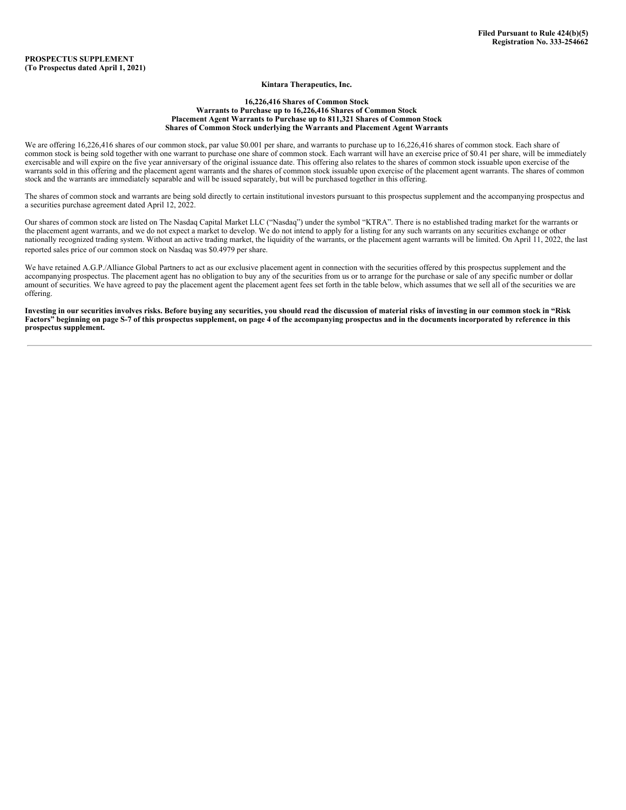## **Kintara Therapeutics, Inc.**

#### **16,226,416 Shares of Common Stock Warrants to Purchase up to 16,226,416 Shares of Common Stock Placement Agent Warrants to Purchase up to 811,321 Shares of Common Stock Shares of Common Stock underlying the Warrants and Placement Agent Warrants**

<span id="page-0-0"></span>We are offering 16,226,416 shares of our common stock, par value \$0.001 per share, and warrants to purchase up to 16,226,416 shares of common stock. Each share of common stock is being sold together with one warrant to purchase one share of common stock. Each warrant will have an exercise price of \$0.41 per share, will be immediately exercisable and will expire on the five year anniversary of the original issuance date. This offering also relates to the shares of common stock issuable upon exercise of the warrants sold in this offering and the placement agent warrants and the shares of common stock issuable upon exercise of the placement agent warrants. The shares of common stock and the warrants are immediately separable and will be issued separately, but will be purchased together in this offering.

The shares of common stock and warrants are being sold directly to certain institutional investors pursuant to this prospectus supplement and the accompanying prospectus and a securities purchase agreement dated April 12, 2022.

Our shares of common stock are listed on The Nasdaq Capital Market LLC ("Nasdaq") under the symbol "KTRA". There is no established trading market for the warrants or the placement agent warrants, and we do not expect a market to develop. We do not intend to apply for a listing for any such warrants on any securities exchange or other nationally recognized trading system. Without an active trading market, the liquidity of the warrants, or the placement agent warrants will be limited. On April 11, 2022, the last reported sales price of our common stock on Nasdaq was \$0.4979 per share.

We have retained A.G.P./Alliance Global Partners to act as our exclusive placement agent in connection with the securities offered by this prospectus supplement and the accompanying prospectus. The placement agent has no obligation to buy any of the securities from us or to arrange for the purchase or sale of any specific number or dollar amount of securities. We have agreed to pay the placement agent the placement agent fees set forth in the table below, which assumes that we sell all of the securities we are offering.

Investing in our securities involves risks. Before buying any securities, you should read the discussion of material risks of investing in our common stock in "Risk Factors" beginning on page S-7 of this prospectus supplement, on page 4 of the accompanying prospectus and in the documents incorporated by reference in this **prospectus supplement.**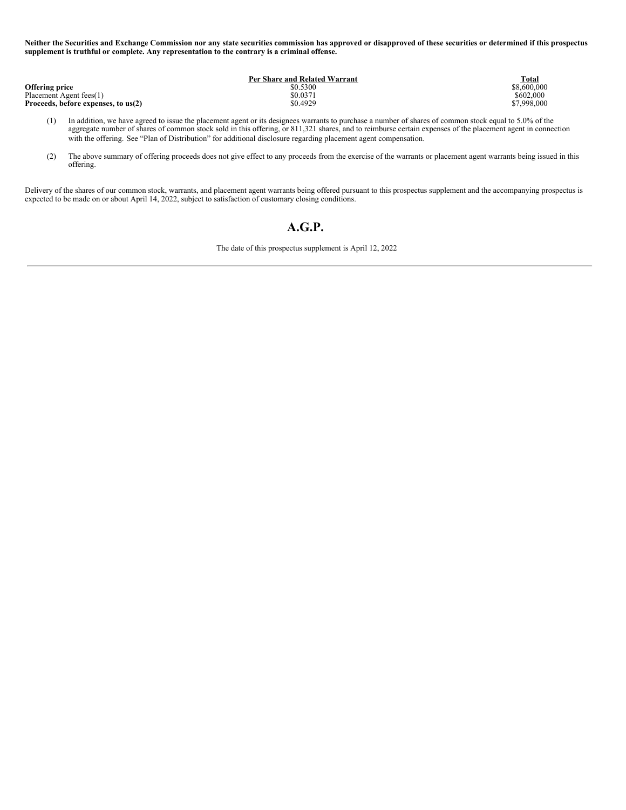Neither the Securities and Exchange Commission nor any state securities commission has approved or disapproved of these securities or determined if this prospectus **supplement is truthful or complete. Any representation to the contrary is a criminal offense.**

|                                     | Per Share and Related Warrant | <b>Total</b> |
|-------------------------------------|-------------------------------|--------------|
| <b>Offering price</b>               | \$0.5300                      | \$8,600,000  |
| Placement Agent fees(1)             | \$0.0371                      | \$602.000    |
| Proceeds, before expenses, to us(2) | \$0.4929                      | \$7,998,000  |

- (1) In addition, we have agreed to issue the placement agent or its designees warrants to purchase a number of shares of common stock equal to 5.0% of the aggregate number of shares of common stock sold in this offering, or 811,321 shares, and to reimburse certain expenses of the placement agent in connection with the offering. See "Plan of Distribution" for additional disclosure regarding placement agent compensation.
- (2) The above summary of offering proceeds does not give effect to any proceeds from the exercise of the warrants or placement agent warrants being issued in this offering.

Delivery of the shares of our common stock, warrants, and placement agent warrants being offered pursuant to this prospectus supplement and the accompanying prospectus is expected to be made on or about April 14, 2022, subject to satisfaction of customary closing conditions.

# **A.G.P.**

The date of this prospectus supplement is April 12, 2022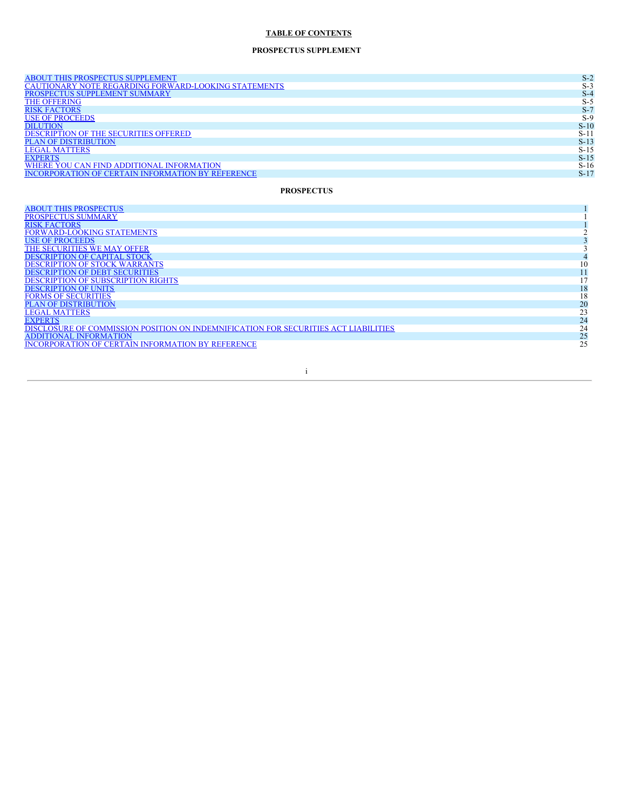## **TABLE OF CONTENTS**

## **PROSPECTUS SUPPLEMENT**

| $S-2$  |
|--------|
| $S-3$  |
| $S-4$  |
| $S-5$  |
| $S-$   |
| $S-9$  |
| $S-10$ |
| $S-11$ |
| $S-13$ |
| $S-15$ |
| $S-15$ |
| $S-16$ |
| $S-17$ |
|        |

## **PROSPECTUS**

| 10<br>11<br>17<br><b>DESCRIPTION OF SUBSCRIPTION RIGHTS</b><br>18<br>18<br>20<br>23<br>24<br>24<br>25<br><b>ADDITIONAL INFORMATION</b> | <b>ABOUT THIS PROSPECTUS</b>                                                        |    |
|----------------------------------------------------------------------------------------------------------------------------------------|-------------------------------------------------------------------------------------|----|
|                                                                                                                                        | PROSPECTUS SUMMARY                                                                  |    |
|                                                                                                                                        | <b>RISK FACTORS</b>                                                                 |    |
|                                                                                                                                        | FORWARD-LOOKING STATEMENTS                                                          |    |
|                                                                                                                                        | <b>USE OF PROCEEDS</b>                                                              |    |
|                                                                                                                                        | THE SECURITIES WE MAY OFFER                                                         |    |
|                                                                                                                                        | <b>DESCRIPTION OF CAPITAL STOCK</b>                                                 |    |
|                                                                                                                                        | <b>DESCRIPTION OF STOCK WARRANTS</b>                                                |    |
|                                                                                                                                        | <b>DESCRIPTION OF DEBT SECURITIES</b>                                               |    |
|                                                                                                                                        |                                                                                     |    |
|                                                                                                                                        | <b>DESCRIPTION OF UNITS</b>                                                         |    |
|                                                                                                                                        | <b>FORMS OF SECURITIES</b>                                                          |    |
|                                                                                                                                        | <b>PLAN OF DISTRIBUTION</b>                                                         |    |
|                                                                                                                                        | <b>LEGAL MATTERS</b>                                                                |    |
|                                                                                                                                        | <b>EXPERTS</b>                                                                      |    |
|                                                                                                                                        | DISCLOSURE OF COMMISSION POSITION ON INDEMNIFICATION FOR SECURITIES ACT LIABILITIES |    |
|                                                                                                                                        |                                                                                     |    |
|                                                                                                                                        | <b>INCORPORATION OF CERTAIN INFORMATION BY REFERENCE</b>                            | 25 |

i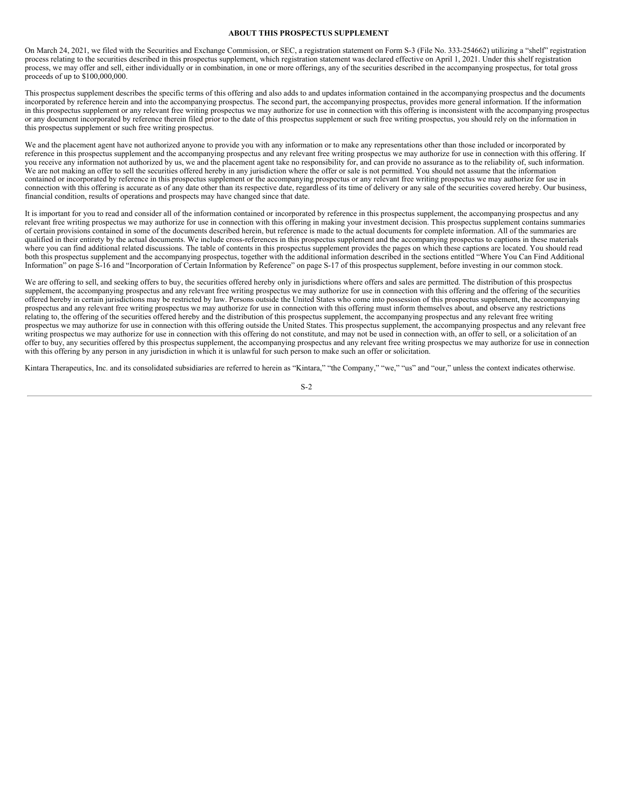## **ABOUT THIS PROSPECTUS SUPPLEMENT**

<span id="page-3-0"></span>On March 24, 2021, we filed with the Securities and Exchange Commission, or SEC, a registration statement on Form S-3 (File No. 333-254662) utilizing a "shelf" registration process relating to the securities described in this prospectus supplement, which registration statement was declared effective on April 1, 2021. Under this shelf registration process, we may offer and sell, either individually or in combination, in one or more offerings, any of the securities described in the accompanying prospectus, for total gross proceeds of up to \$100,000,000.

This prospectus supplement describes the specific terms of this offering and also adds to and updates information contained in the accompanying prospectus and the documents incorporated by reference herein and into the accompanying prospectus. The second part, the accompanying prospectus, provides more general information. If the information in this prospectus supplement or any relevant free writing prospectus we may authorize for use in connection with this offering is inconsistent with the accompanying prospectus or any document incorporated by reference therein filed prior to the date of this prospectus supplement or such free writing prospectus, you should rely on the information in this prospectus supplement or such free writing prospectus.

We and the placement agent have not authorized anyone to provide you with any information or to make any representations other than those included or incorporated by reference in this prospectus supplement and the accompanying prospectus and any relevant free writing prospectus we may authorize for use in connection with this offering. If you receive any information not authorized by us, we and the placement agent take no responsibility for, and can provide no assurance as to the reliability of, such information. We are not making an offer to sell the securities offered hereby in any jurisdiction where the offer or sale is not permitted. You should not assume that the information contained or incorporated by reference in this prospectus supplement or the accompanying prospectus or any relevant free writing prospectus we may authorize for use in connection with this offering is accurate as of any date other than its respective date, regardless of its time of delivery or any sale of the securities covered hereby. Our business, financial condition, results of operations and prospects may have changed since that date.

It is important for you to read and consider all of the information contained or incorporated by reference in this prospectus supplement, the accompanying prospectus and any relevant free writing prospectus we may authorize for use in connection with this offering in making your investment decision. This prospectus supplement contains summaries of certain provisions contained in some of the documents described herein, but reference is made to the actual documents for complete information. All of the summaries are qualified in their entirety by the actual documents. We include cross-references in this prospectus supplement and the accompanying prospectus to captions in these materials where you can find additional related discussions. The table of contents in this prospectus supplement provides the pages on which these captions are located. You should read both this prospectus supplement and the accompanying prospectus, together with the additional information described in the sections entitled "Where You Can Find Additional Information" on page S-16 and "Incorporation of Certain Information by Reference" on page S-17 of this prospectus supplement, before investing in our common stock.

We are offering to sell, and seeking offers to buy, the securities offered hereby only in jurisdictions where offers and sales are permitted. The distribution of this prospectus supplement, the accompanying prospectus and any relevant free writing prospectus we may authorize for use in connection with this offering and the offering of the securities offered hereby in certain jurisdictions may be restricted by law. Persons outside the United States who come into possession of this prospectus supplement, the accompanying prospectus and any relevant free writing prospectus we may authorize for use in connection with this offering must inform themselves about, and observe any restrictions relating to, the offering of the securities offered hereby and the distribution of this prospectus supplement, the accompanying prospectus and any relevant free writing prospectus we may authorize for use in connection with this offering outside the United States. This prospectus supplement, the accompanying prospectus and any relevant free writing prospectus we may authorize for use in connection with this offering do not constitute, and may not be used in connection with, an offer to sell, or a solicitation of an offer to buy, any securities offered by this prospectus supplement, the accompanying prospectus and any relevant free writing prospectus we may authorize for use in connection with this offering by any person in any jurisdiction in which it is unlawful for such person to make such an offer or solicitation.

Kintara Therapeutics, Inc. and its consolidated subsidiaries are referred to herein as "Kintara," "the Company," "we," "us" and "our," unless the context indicates otherwise.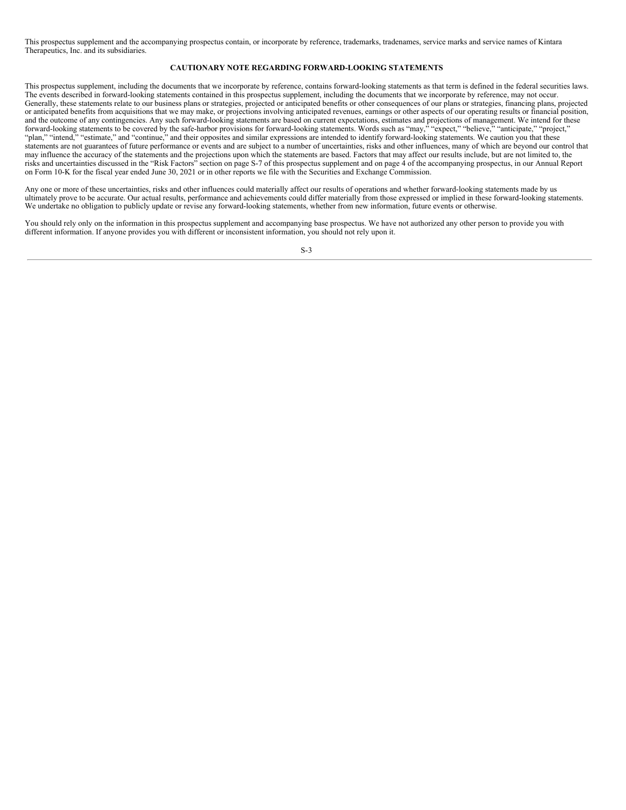This prospectus supplement and the accompanying prospectus contain, or incorporate by reference, trademarks, tradenames, service marks and service names of Kintara Therapeutics, Inc. and its subsidiaries.

## **CAUTIONARY NOTE REGARDING FORWARD-LOOKING STATEMENTS**

<span id="page-4-0"></span>This prospectus supplement, including the documents that we incorporate by reference, contains forward-looking statements as that term is defined in the federal securities laws. The events described in forward-looking statements contained in this prospectus supplement, including the documents that we incorporate by reference, may not occur. Generally, these statements relate to our business plans or strategies, projected or anticipated benefits or other consequences of our plans or strategies, financing plans, projected or anticipated benefits from acquisitions that we may make, or projections involving anticipated revenues, earnings or other aspects of our operating results or financial position, and the outcome of any contingencies. Any such forward-looking statements are based on current expectations, estimates and projections of management. We intend for these forward-looking statements to be covered by the safe-harbor provisions for forward-looking statements. Words such as "may," "expect," "believe," "anticipate," "project," "plan," "intend," "estimate," and "continue," and their opposites and similar expressions are intended to identify forward-looking statements. We caution you that these statements are not guarantees of future performance or events and are subject to a number of uncertainties, risks and other influences, many of which are beyond our control that may influence the accuracy of the statements and the projections upon which the statements are based. Factors that may affect our results include, but are not limited to, the risks and uncertainties discussed in the "Risk Factors" section on page S-7 of this prospectus supplement and on page 4 of the accompanying prospectus, in our Annual Report on Form 10-K for the fiscal year ended June 30, 2021 or in other reports we file with the Securities and Exchange Commission.

Any one or more of these uncertainties, risks and other influences could materially affect our results of operations and whether forward-looking statements made by us ultimately prove to be accurate. Our actual results, performance and achievements could differ materially from those expressed or implied in these forward-looking statements. We undertake no obligation to publicly update or revise any forward-looking statements, whether from new information, future events or otherwise.

You should rely only on the information in this prospectus supplement and accompanying base prospectus. We have not authorized any other person to provide you with different information. If anyone provides you with different or inconsistent information, you should not rely upon it.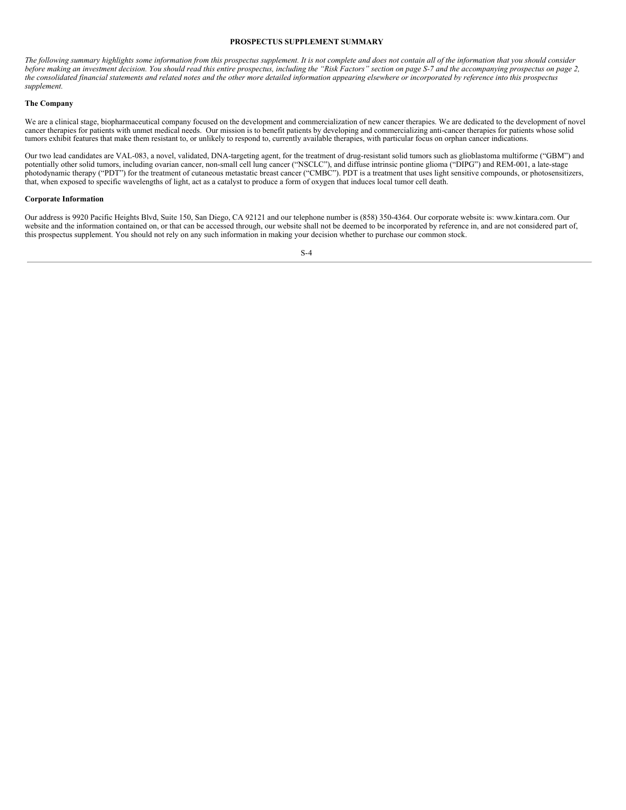#### **PROSPECTUS SUPPLEMENT SUMMARY**

<span id="page-5-0"></span>The following summary highlights some information from this prospectus supplement. It is not complete and does not contain all of the information that you should consider before making an investment decision. You should read this entire prospectus, including the "Risk Factors" section on page S-7 and the accompanying prospectus on page 2, the consolidated financial statements and related notes and the other more detailed information appearing elsewhere or incorporated by reference into this prospectus *supplement.*

## **The Company**

We are a clinical stage, biopharmaceutical company focused on the development and commercialization of new cancer therapies. We are dedicated to the development of novel cancer therapies for patients with unmet medical needs. Our mission is to benefit patients by developing and commercializing anti-cancer therapies for patients whose solid tumors exhibit features that make them resistant to, or unlikely to respond to, currently available therapies, with particular focus on orphan cancer indications.

Our two lead candidates are VAL-083, a novel, validated, DNA-targeting agent, for the treatment of drug-resistant solid tumors such as glioblastoma multiforme ("GBM") and potentially other solid tumors, including ovarian cancer, non-small cell lung cancer ("NSCLC"), and diffuse intrinsic pontine glioma ("DIPG") and REM-001, a late-stage photodynamic therapy ("PDT") for the treatment of cutaneous metastatic breast cancer ("CMBC"). PDT is a treatment that uses light sensitive compounds, or photosensitizers, that, when exposed to specific wavelengths of light, act as a catalyst to produce a form of oxygen that induces local tumor cell death.

#### **Corporate Information**

Our address is 9920 Pacific Heights Blvd, Suite 150, San Diego, CA 92121 and our telephone number is (858) 350-4364. Our corporate website is: www.kintara.com. Our website and the information contained on, or that can be accessed through, our website shall not be deemed to be incorporated by reference in, and are not considered part of, this prospectus supplement. You should not rely on any such information in making your decision whether to purchase our common stock.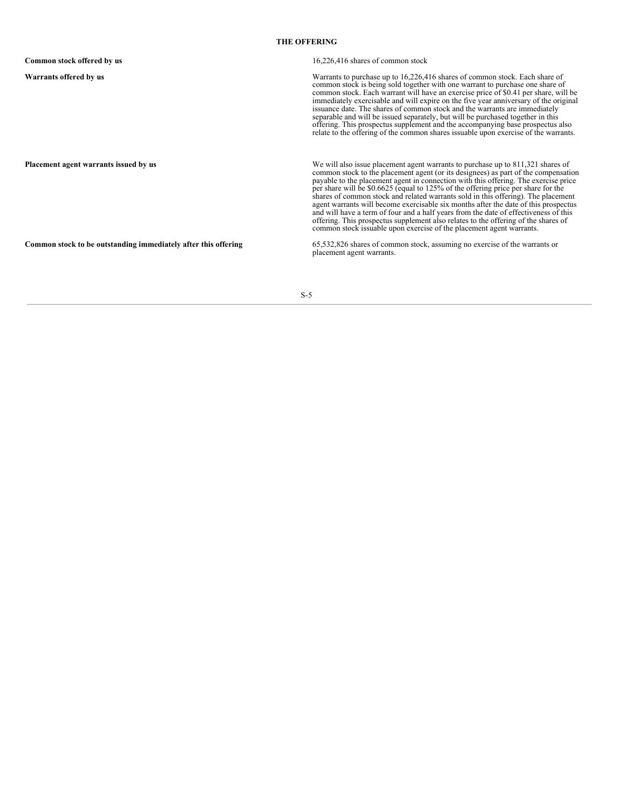## **THE OFFERING**

<span id="page-6-0"></span>

| Common stock offered by us                                     | 16,226,416 shares of common stock                                                                                                                                                                                                                                                                                                                                                                                                                                                                                                                                                                                                                                                                                                                                                    |
|----------------------------------------------------------------|--------------------------------------------------------------------------------------------------------------------------------------------------------------------------------------------------------------------------------------------------------------------------------------------------------------------------------------------------------------------------------------------------------------------------------------------------------------------------------------------------------------------------------------------------------------------------------------------------------------------------------------------------------------------------------------------------------------------------------------------------------------------------------------|
| Warrants offered by us                                         | Warrants to purchase up to 16,226,416 shares of common stock. Each share of<br>common stock is being sold together with one warrant to purchase one share of<br>common stock. Each warrant will have an exercise price of \$0.41 per share, will be<br>immediately exercisable and will expire on the five year anniversary of the original<br>issuance date. The shares of common stock and the warrants are immediately<br>separable and will be issued separately, but will be purchased together in this<br>offering. This prospectus supplement and the accompanying base prospectus also<br>relate to the offering of the common shares issuable upon exercise of the warrants.                                                                                                |
| Placement agent warrants issued by us                          | We will also issue placement agent warrants to purchase up to 811,321 shares of<br>common stock to the placement agent (or its designees) as part of the compensation<br>payable to the placement agent in connection with this offering. The exercise price<br>per share will be \$0.6625 (equal to 125% of the offering price per share for the<br>shares of common stock and related warrants sold in this offering). The placement<br>agent warrants will become exercisable six months after the date of this prospectus<br>and will have a term of four and a half years from the date of effectiveness of this<br>offering. This prospectus supplement also relates to the offering of the shares of<br>common stock is suable upon exercise of the placement agent warrants. |
| Common stock to be outstanding immediately after this offering | 65,532,826 shares of common stock, assuming no exercise of the warrants or<br>placement agent warrants.                                                                                                                                                                                                                                                                                                                                                                                                                                                                                                                                                                                                                                                                              |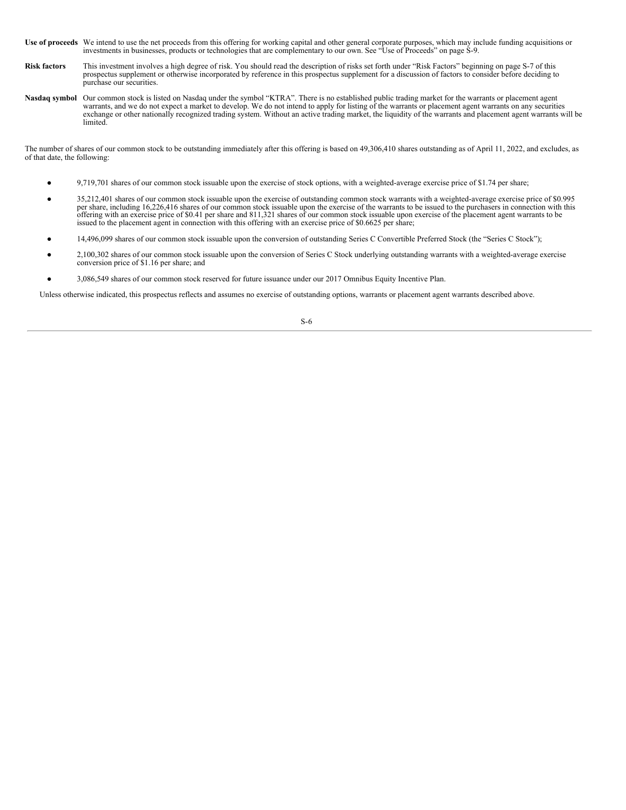- Use of proceeds We intend to use the net proceeds from this offering for working capital and other general corporate purposes, which may include funding acquisitions or investments in businesses, products or technologies t
- **Risk factors** This investment involves a high degree of risk. You should read the description of risks set forth under "Risk Factors" beginning on page S-7 of this prospectus supplement or otherwise incorporated by reference in this prospectus supplement for a discussion of factors to consider before deciding to purchase our securities.
- Nasdaq symbol Our common stock is listed on Nasdaq under the symbol "KTRA". There is no established public trading market for the warrants or placement agent warrants, and we do not expect a market to develop. We do not in limited<sup>-</sup>

The number of shares of our common stock to be outstanding immediately after this offering is based on 49,306,410 shares outstanding as of April 11, 2022, and excludes, as of that date, the following:

- 9,719,701 shares of our common stock issuable upon the exercise of stock options, with a weighted-average exercise price of \$1.74 per share;
- 35,212,401 shares of our common stock issuable upon the exercise of outstanding common stock warrants with a weighted-average exercise price of \$0.995 per share, including 16,226,416 shares of our common stock issuable upon the exercise of the warrants to be issued to the purchasers in connection with this offering with an exercise price of \$0.41 per share and 811,321 shares of our common stock issuable upon exercise of the placement agent warrants to be issued to the placement agent in connection with this offering with an exercise price of \$0.6625 per share;
- 14,496,099 shares of our common stock issuable upon the conversion of outstanding Series C Convertible Preferred Stock (the "Series C Stock");
- 2,100,302 shares of our common stock issuable upon the conversion of Series C Stock underlying outstanding warrants with a weighted-average exercise conversion price of \$1.16 per share; and
- 3,086,549 shares of our common stock reserved for future issuance under our 2017 Omnibus Equity Incentive Plan.

Unless otherwise indicated, this prospectus reflects and assumes no exercise of outstanding options, warrants or placement agent warrants described above.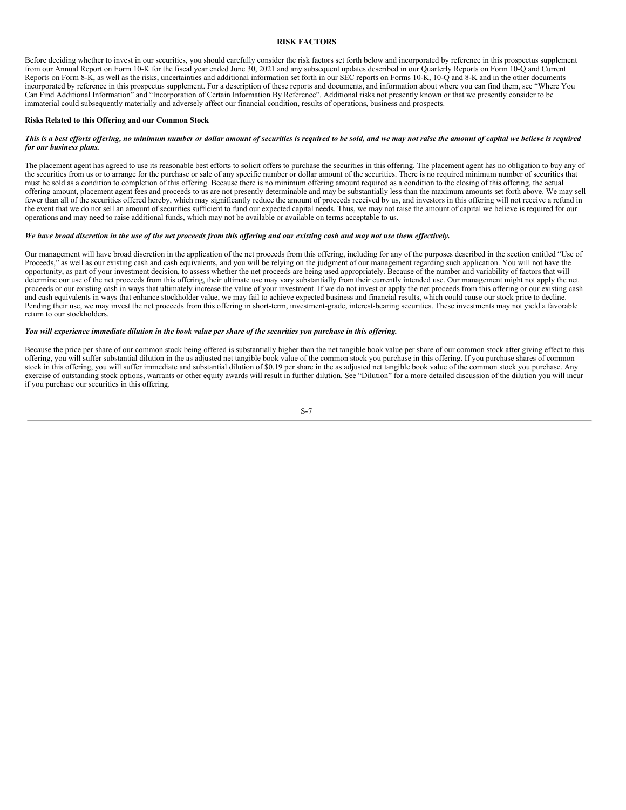### **RISK FACTORS**

<span id="page-8-0"></span>Before deciding whether to invest in our securities, you should carefully consider the risk factors set forth below and incorporated by reference in this prospectus supplement from our Annual Report on Form 10-K for the fiscal year ended June 30, 2021 and any subsequent updates described in our Quarterly Reports on Form 10-Q and Current Reports on Form 8-K, as well as the risks, uncertainties and additional information set forth in our SEC reports on Forms 10-K, 10-Q and 8-K and in the other documents incorporated by reference in this prospectus supplement. For a description of these reports and documents, and information about where you can find them, see "Where You Can Find Additional Information" and "Incorporation of Certain Information By Reference". Additional risks not presently known or that we presently consider to be immaterial could subsequently materially and adversely affect our financial condition, results of operations, business and prospects.

## **Risks Related to this Offering and our Common Stock**

#### This is a best efforts offering, no minimum number or dollar amount of securities is required to be sold, and we may not raise the amount of capital we believe is required *for our business plans.*

The placement agent has agreed to use its reasonable best efforts to solicit offers to purchase the securities in this offering. The placement agent has no obligation to buy any of the securities from us or to arrange for the purchase or sale of any specific number or dollar amount of the securities. There is no required minimum number of securities that must be sold as a condition to completion of this offering. Because there is no minimum offering amount required as a condition to the closing of this offering, the actual offering amount, placement agent fees and proceeds to us are not presently determinable and may be substantially less than the maximum amounts set forth above. We may sell fewer than all of the securities offered hereby, which may significantly reduce the amount of proceeds received by us, and investors in this offering will not receive a refund in the event that we do not sell an amount of securities sufficient to fund our expected capital needs. Thus, we may not raise the amount of capital we believe is required for our operations and may need to raise additional funds, which may not be available or available on terms acceptable to us.

#### We have broad discretion in the use of the net proceeds from this offering and our existing cash and may not use them effectively.

Our management will have broad discretion in the application of the net proceeds from this offering, including for any of the purposes described in the section entitled "Use of Proceeds," as well as our existing cash and cash equivalents, and you will be relying on the judgment of our management regarding such application. You will not have the opportunity, as part of your investment decision, to assess whether the net proceeds are being used appropriately. Because of the number and variability of factors that will determine our use of the net proceeds from this offering, their ultimate use may vary substantially from their currently intended use. Our management might not apply the net proceeds or our existing cash in ways that ultimately increase the value of your investment. If we do not invest or apply the net proceeds from this offering or our existing cash and cash equivalents in ways that enhance stockholder value, we may fail to achieve expected business and financial results, which could cause our stock price to decline. Pending their use, we may invest the net proceeds from this offering in short-term, investment-grade, interest-bearing securities. These investments may not yield a favorable return to our stockholders.

## You will experience immediate dilution in the book value per share of the securities you purchase in this offering.

Because the price per share of our common stock being offered is substantially higher than the net tangible book value per share of our common stock after giving effect to this offering, you will suffer substantial dilution in the as adjusted net tangible book value of the common stock you purchase in this offering. If you purchase shares of common stock in this offering, you will suffer immediate and substantial dilution of \$0.19 per share in the as adjusted net tangible book value of the common stock you purchase. Any exercise of outstanding stock options, warrants or other equity awards will result in further dilution. See "Dilution" for a more detailed discussion of the dilution you will incur if you purchase our securities in this offering.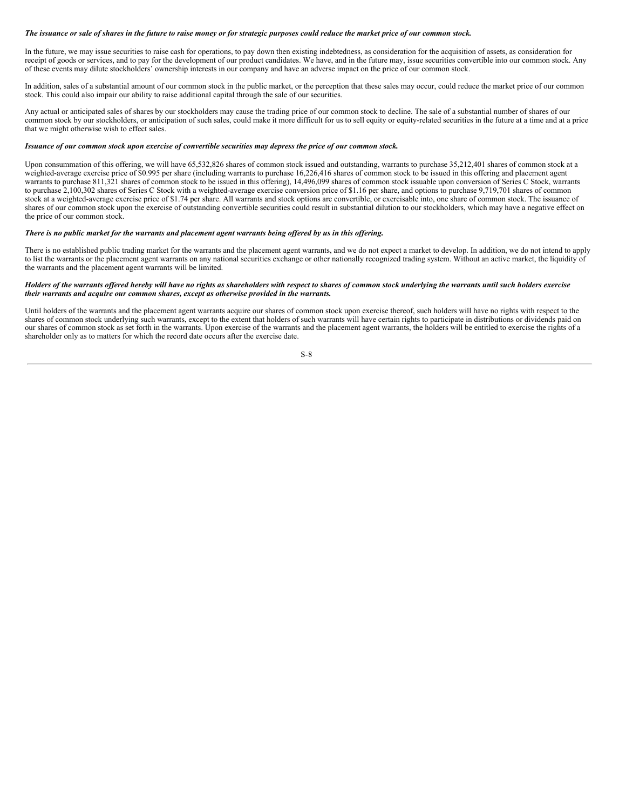#### The issuance or sale of shares in the future to raise money or for strategic purposes could reduce the market price of our common stock.

In the future, we may issue securities to raise cash for operations, to pay down then existing indebtedness, as consideration for the acquisition of assets, as consideration for receipt of goods or services, and to pay for the development of our product candidates. We have, and in the future may, issue securities convertible into our common stock. Any of these events may dilute stockholders' ownership interests in our company and have an adverse impact on the price of our common stock.

In addition, sales of a substantial amount of our common stock in the public market, or the perception that these sales may occur, could reduce the market price of our common stock. This could also impair our ability to raise additional capital through the sale of our securities.

Any actual or anticipated sales of shares by our stockholders may cause the trading price of our common stock to decline. The sale of a substantial number of shares of our common stock by our stockholders, or anticipation of such sales, could make it more difficult for us to sell equity or equity-related securities in the future at a time and at a price that we might otherwise wish to effect sales.

#### Issuance of our common stock upon exercise of convertible securities may depress the price of our common stock.

Upon consummation of this offering, we will have 65,532,826 shares of common stock issued and outstanding, warrants to purchase 35,212,401 shares of common stock at a weighted-average exercise price of \$0.995 per share (including warrants to purchase 16,226,416 shares of common stock to be issued in this offering and placement agent warrants to purchase 811,321 shares of common stock to be issued in this offering), 14,496,099 shares of common stock issuable upon conversion of Series C Stock, warrants to purchase 2,100,302 shares of Series C Stock with a weighted-average exercise conversion price of \$1.16 per share, and options to purchase 9,719,701 shares of common stock at a weighted-average exercise price of \$1.74 per share. All warrants and stock options are convertible, or exercisable into, one share of common stock. The issuance of shares of our common stock upon the exercise of outstanding convertible securities could result in substantial dilution to our stockholders, which may have a negative effect on the price of our common stock.

#### There is no public market for the warrants and placement agent warrants being offered by us in this offering.

There is no established public trading market for the warrants and the placement agent warrants, and we do not expect a market to develop. In addition, we do not intend to apply to list the warrants or the placement agent warrants on any national securities exchange or other nationally recognized trading system. Without an active market, the liquidity of the warrants and the placement agent warrants will be limited.

#### Holders of the warrants offered hereby will have no rights as shareholders with respect to shares of common stock underlying the warrants until such holders exercise *their warrants and acquire our common shares, except as otherwise provided in the warrants.*

Until holders of the warrants and the placement agent warrants acquire our shares of common stock upon exercise thereof, such holders will have no rights with respect to the shares of common stock underlying such warrants, except to the extent that holders of such warrants will have certain rights to participate in distributions or dividends paid on our shares of common stock as set forth in the warrants. Upon exercise of the warrants and the placement agent warrants, the holders will be entitled to exercise the rights of a shareholder only as to matters for which the record date occurs after the exercise date.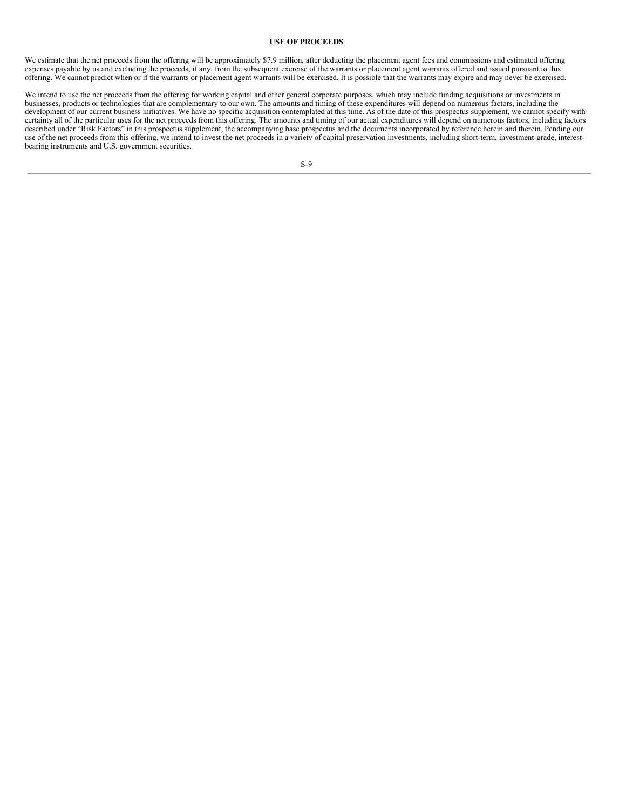## **USE OF PROCEEDS**

<span id="page-10-0"></span>We estimate that the net proceeds from the offering will be approximately \$7.9 million, after deducting the placement agent fees and commissions and estimated offering expenses payable by us and excluding the proceeds, if any, from the subsequent exercise of the warrants or placement agent warrants offered and issued pursuant to this offering. We cannot predict when or if the warrants or placement agent warrants will be exercised. It is possible that the warrants may expire and may never be exercised.

We intend to use the net proceeds from the offering for working capital and other general corporate purposes, which may include funding acquisitions or investments in businesses, products or technologies that are complementary to our own. The amounts and timing of these expenditures will depend on numerous factors, including the development of our current business initiatives. We have no specific acquisition contemplated at this time. As of the date of this prospectus supplement, we cannot specify with certainty all of the particular uses for the net proceeds from this offering. The amounts and timing of our actual expenditures will depend on numerous factors, including factors described under "Risk Factors" in this prospectus supplement, the accompanying base prospectus and the documents incorporated by reference herein and therein. Pending our use of the net proceeds from this offering, we intend to invest the net proceeds in a variety of capital preservation investments, including short-term, investment-grade, interestbearing instruments and U.S. government securities.

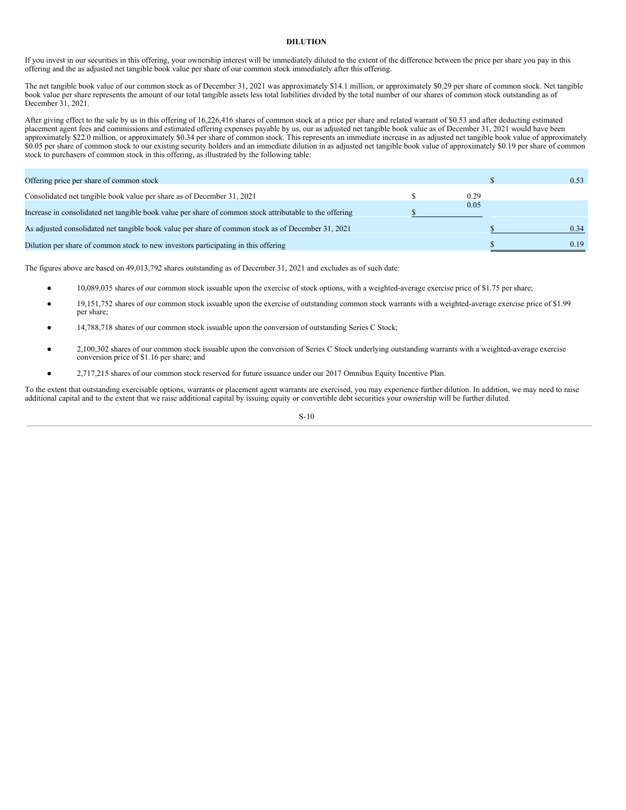#### **DILUTION**

<span id="page-11-0"></span>If you invest in our securities in this offering, your ownership interest will be immediately diluted to the extent of the difference between the price per share you pay in this offering and the as adjusted net tangible book value per share of our common stock immediately after this offering.

The net tangible book value of our common stock as of December 31, 2021 was approximately \$14.1 million, or approximately \$0.29 per share of common stock. Net tangible book value per share represents the amount of our total tangible assets less total liabilities divided by the total number of our shares of common stock outstanding as of December 31, 2021.

After giving effect to the sale by us in this offering of 16,226,416 shares of common stock at a price per share and related warrant of \$0.53 and after deducting estimated placement agent fees and commissions and estimated offering expenses payable by us, our as adjusted net tangible book value as of December 31, 2021 would have been approximately \$22.0 million, or approximately \$0.34 per share of common stock. This represents an immediate increase in as adjusted net tangible book value of approximately \$0.05 per share of common stock to our existing security holders and an immediate dilution in as adjusted net tangible book value of approximately \$0.19 per share of common stock to purchasers of common stock in this offering, as illustrated by the following table:

| Offering price per share of common stock                                                                |      | 0.53 |
|---------------------------------------------------------------------------------------------------------|------|------|
| Consolidated net tangible book value per share as of December 31, 2021                                  | 0.29 |      |
| Increase in consolidated net tangible book value per share of common stock attributable to the offering | 0.05 |      |
| As adjusted consolidated net tangible book value per share of common stock as of December 31, 2021      |      |      |
| Dilution per share of common stock to new investors participating in this offering                      |      |      |

The figures above are based on 49,013,792 shares outstanding as of December 31, 2021 and excludes as of such date:

- 10,089,035 shares of our common stock issuable upon the exercise of stock options, with a weighted-average exercise price of \$1.75 per share;
- 19,151,752 shares of our common stock issuable upon the exercise of outstanding common stock warrants with a weighted-average exercise price of \$1.99 per share;
- 14,788,718 shares of our common stock issuable upon the conversion of outstanding Series C Stock;
- 2,100,302 shares of our common stock issuable upon the conversion of Series C Stock underlying outstanding warrants with a weighted-average exercise conversion price of \$1.16 per share; and
- 2,717,215 shares of our common stock reserved for future issuance under our 2017 Omnibus Equity Incentive Plan.

To the extent that outstanding exercisable options, warrants or placement agent warrants are exercised, you may experience further dilution. In addition, we may need to raise additional capital and to the extent that we raise additional capital by issuing equity or convertible debt securities your ownership will be further diluted.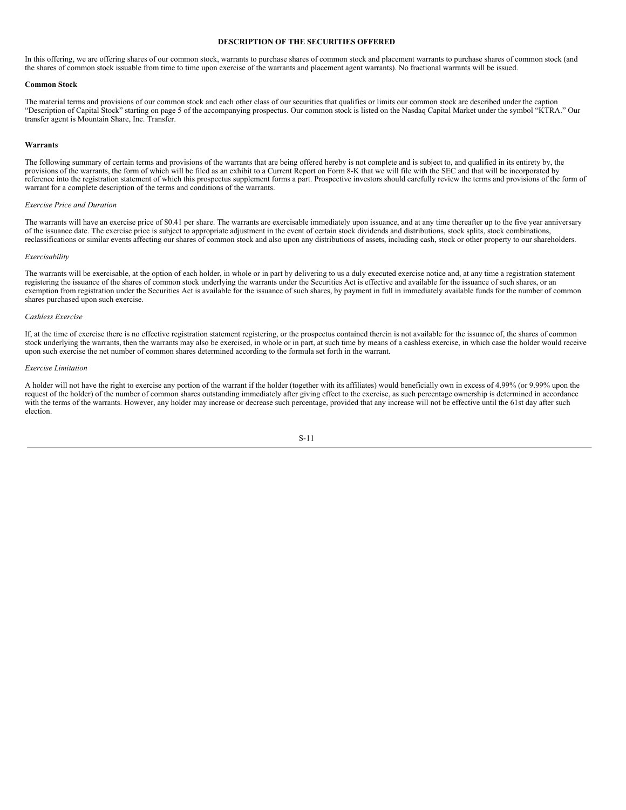#### **DESCRIPTION OF THE SECURITIES OFFERED**

<span id="page-12-0"></span>In this offering, we are offering shares of our common stock, warrants to purchase shares of common stock and placement warrants to purchase shares of common stock (and the shares of common stock issuable from time to time upon exercise of the warrants and placement agent warrants). No fractional warrants will be issued.

#### **Common Stock**

The material terms and provisions of our common stock and each other class of our securities that qualifies or limits our common stock are described under the caption "Description of Capital Stock" starting on page 5 of the accompanying prospectus. Our common stock is listed on the Nasdaq Capital Market under the symbol "KTRA." Our transfer agent is Mountain Share, Inc. Transfer.

#### **Warrants**

The following summary of certain terms and provisions of the warrants that are being offered hereby is not complete and is subject to, and qualified in its entirety by, the provisions of the warrants, the form of which will be filed as an exhibit to a Current Report on Form 8-K that we will file with the SEC and that will be incorporated by reference into the registration statement of which this prospectus supplement forms a part. Prospective investors should carefully review the terms and provisions of the form of warrant for a complete description of the terms and conditions of the warrants.

#### *Exercise Price and Duration*

The warrants will have an exercise price of \$0.41 per share. The warrants are exercisable immediately upon issuance, and at any time thereafter up to the five year anniversary of the issuance date. The exercise price is subject to appropriate adjustment in the event of certain stock dividends and distributions, stock splits, stock combinations, reclassifications or similar events affecting our shares of common stock and also upon any distributions of assets, including cash, stock or other property to our shareholders.

#### *Exercisability*

The warrants will be exercisable, at the option of each holder, in whole or in part by delivering to us a duly executed exercise notice and, at any time a registration statement registering the issuance of the shares of common stock underlying the warrants under the Securities Act is effective and available for the issuance of such shares, or an exemption from registration under the Securities Act is available for the issuance of such shares, by payment in full in immediately available funds for the number of common shares purchased upon such exercise.

### *Cashless Exercise*

If, at the time of exercise there is no effective registration statement registering, or the prospectus contained therein is not available for the issuance of, the shares of common stock underlying the warrants, then the warrants may also be exercised, in whole or in part, at such time by means of a cashless exercise, in which case the holder would receive upon such exercise the net number of common shares determined according to the formula set forth in the warrant.

#### *Exercise Limitation*

A holder will not have the right to exercise any portion of the warrant if the holder (together with its affiliates) would beneficially own in excess of 4.99% (or 9.99% upon the request of the holder) of the number of common shares outstanding immediately after giving effect to the exercise, as such percentage ownership is determined in accordance with the terms of the warrants. However, any holder may increase or decrease such percentage, provided that any increase will not be effective until the 61st day after such election.

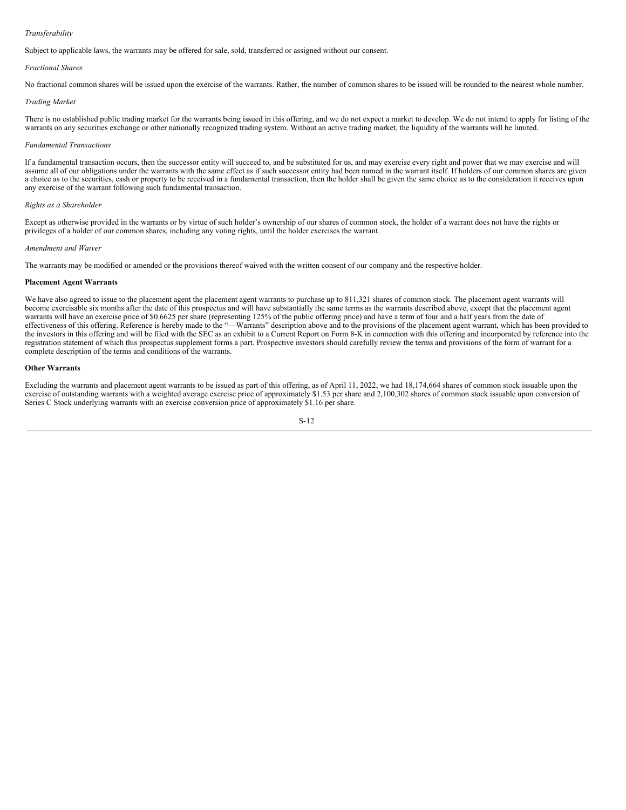## *Transferability*

Subject to applicable laws, the warrants may be offered for sale, sold, transferred or assigned without our consent.

#### *Fractional Shares*

No fractional common shares will be issued upon the exercise of the warrants. Rather, the number of common shares to be issued will be rounded to the nearest whole number.

#### *Trading Market*

There is no established public trading market for the warrants being issued in this offering, and we do not expect a market to develop. We do not intend to apply for listing of the warrants on any securities exchange or other nationally recognized trading system. Without an active trading market, the liquidity of the warrants will be limited.

#### *Fundamental Transactions*

If a fundamental transaction occurs, then the successor entity will succeed to, and be substituted for us, and may exercise every right and power that we may exercise and will assume all of our obligations under the warrants with the same effect as if such successor entity had been named in the warrant itself. If holders of our common shares are given a choice as to the securities, cash or property to be received in a fundamental transaction, then the holder shall be given the same choice as to the consideration it receives upon any exercise of the warrant following such fundamental transaction.

#### *Rights as a Shareholder*

Except as otherwise provided in the warrants or by virtue of such holder's ownership of our shares of common stock, the holder of a warrant does not have the rights or privileges of a holder of our common shares, including any voting rights, until the holder exercises the warrant.

#### *Amendment and Waiver*

The warrants may be modified or amended or the provisions thereof waived with the written consent of our company and the respective holder.

#### **Placement Agent Warrants**

We have also agreed to issue to the placement agent the placement agent warrants to purchase up to 811,321 shares of common stock. The placement agent warrants will become exercisable six months after the date of this prospectus and will have substantially the same terms as the warrants described above, except that the placement agent warrants will have an exercise price of \$0.6625 per share (representing 125% of the public offering price) and have a term of four and a half years from the date of effectiveness of this offering. Reference is hereby made to the "—Warrants" description above and to the provisions of the placement agent warrant, which has been provided to the investors in this offering and will be filed with the SEC as an exhibit to a Current Report on Form 8-K in connection with this offering and incorporated by reference into the registration statement of which this prospectus supplement forms a part. Prospective investors should carefully review the terms and provisions of the form of warrant for a complete description of the terms and conditions of the warrants.

#### **Other Warrants**

Excluding the warrants and placement agent warrants to be issued as part of this offering, as of April 11, 2022, we had 18,174,664 shares of common stock issuable upon the exercise of outstanding warrants with a weighted average exercise price of approximately \$1.53 per share and 2,100,302 shares of common stock issuable upon conversion of Series C Stock underlying warrants with an exercise conversion price of approximately \$1.16 per share.

$$
S-12
$$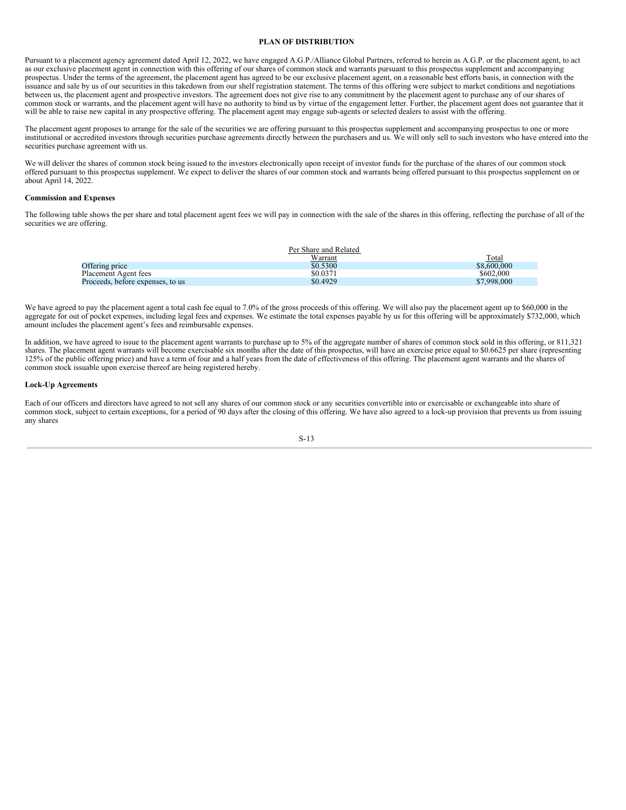#### **PLAN OF DISTRIBUTION**

<span id="page-14-0"></span>Pursuant to a placement agency agreement dated April 12, 2022, we have engaged A.G.P./Alliance Global Partners, referred to herein as A.G.P. or the placement agent, to act as our exclusive placement agent in connection with this offering of our shares of common stock and warrants pursuant to this prospectus supplement and accompanying prospectus. Under the terms of the agreement, the placement agent has agreed to be our exclusive placement agent, on a reasonable best efforts basis, in connection with the issuance and sale by us of our securities in this takedown from our shelf registration statement. The terms of this offering were subject to market conditions and negotiations between us, the placement agent and prospective investors. The agreement does not give rise to any commitment by the placement agent to purchase any of our shares of common stock or warrants, and the placement agent will have no authority to bind us by virtue of the engagement letter. Further, the placement agent does not guarantee that it will be able to raise new capital in any prospective offering. The placement agent may engage sub-agents or selected dealers to assist with the offering.

The placement agent proposes to arrange for the sale of the securities we are offering pursuant to this prospectus supplement and accompanying prospectus to one or more institutional or accredited investors through securities purchase agreements directly between the purchasers and us. We will only sell to such investors who have entered into the securities purchase agreement with us.

We will deliver the shares of common stock being issued to the investors electronically upon receipt of investor funds for the purchase of the shares of our common stock offered pursuant to this prospectus supplement. We expect to deliver the shares of our common stock and warrants being offered pursuant to this prospectus supplement on or about April 14, 2022.

## **Commission and Expenses**

The following table shows the per share and total placement agent fees we will pay in connection with the sale of the shares in this offering, reflecting the purchase of all of the securities we are offering.

|                                  | Per Share and Related |              |
|----------------------------------|-----------------------|--------------|
|                                  | Warrant               | <b>Total</b> |
| Offering price                   | \$0.5300              | \$8,600,000  |
| Placement Agent fees             | \$0.0371              | \$602,000    |
| Proceeds, before expenses, to us | \$0.4929              | \$7,998,000  |

We have agreed to pay the placement agent a total cash fee equal to 7.0% of the gross proceeds of this offering. We will also pay the placement agent up to \$60,000 in the aggregate for out of pocket expenses, including legal fees and expenses. We estimate the total expenses payable by us for this offering will be approximately \$732,000, which amount includes the placement agent's fees and reimbursable expenses.

In addition, we have agreed to issue to the placement agent warrants to purchase up to 5% of the aggregate number of shares of common stock sold in this offering, or 811,321 shares. The placement agent warrants will become exercisable six months after the date of this prospectus, will have an exercise price equal to \$0.6625 per share (representing 125% of the public offering price) and have a term of four and a half years from the date of effectiveness of this offering. The placement agent warrants and the shares of common stock issuable upon exercise thereof are being registered hereby.

#### **Lock-Up Agreements**

Each of our officers and directors have agreed to not sell any shares of our common stock or any securities convertible into or exercisable or exchangeable into share of common stock, subject to certain exceptions, for a period of 90 days after the closing of this offering. We have also agreed to a lock-up provision that prevents us from issuing any shares

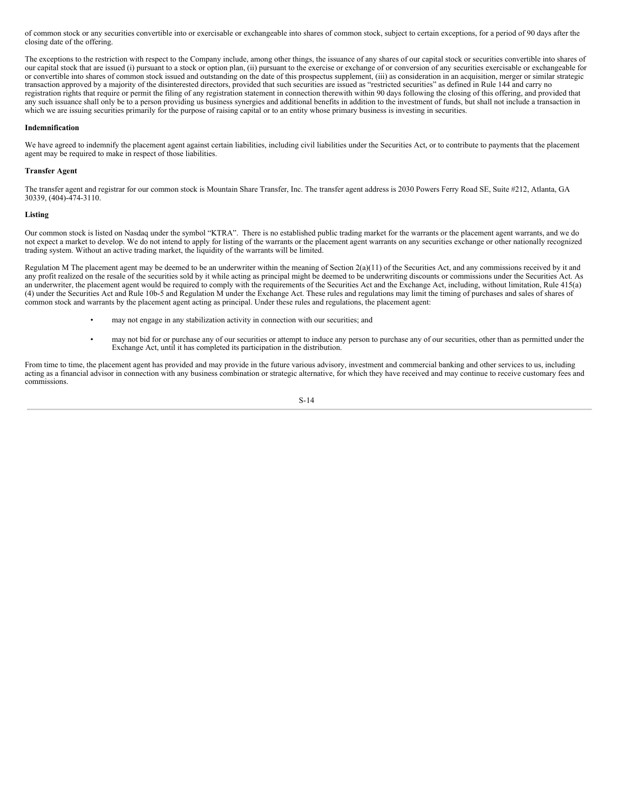of common stock or any securities convertible into or exercisable or exchangeable into shares of common stock, subject to certain exceptions, for a period of 90 days after the closing date of the offering.

The exceptions to the restriction with respect to the Company include, among other things, the issuance of any shares of our capital stock or securities convertible into shares of our capital stock that are issued (i) pursuant to a stock or option plan, (ii) pursuant to the exercise or exchange of or conversion of any securities exercisable or exchangeable for or convertible into shares of common stock issued and outstanding on the date of this prospectus supplement, (iii) as consideration in an acquisition, merger or similar strategic transaction approved by a majority of the disinterested directors, provided that such securities are issued as "restricted securities" as defined in Rule 144 and carry no registration rights that require or permit the filing of any registration statement in connection therewith within 90 days following the closing of this offering, and provided that any such issuance shall only be to a person providing us business synergies and additional benefits in addition to the investment of funds, but shall not include a transaction in which we are issuing securities primarily for the purpose of raising capital or to an entity whose primary business is investing in securities.

### **Indemnification**

We have agreed to indemnify the placement agent against certain liabilities, including civil liabilities under the Securities Act, or to contribute to payments that the placement agent may be required to make in respect of those liabilities.

### **Transfer Agent**

The transfer agent and registrar for our common stock is Mountain Share Transfer, Inc. The transfer agent address is 2030 Powers Ferry Road SE, Suite #212, Atlanta, GA 30339, (404)-474-3110.

#### **Listing**

Our common stock is listed on Nasdaq under the symbol "KTRA". There is no established public trading market for the warrants or the placement agent warrants, and we do not expect a market to develop. We do not intend to apply for listing of the warrants or the placement agent warrants on any securities exchange or other nationally recognized trading system. Without an active trading market, the liquidity of the warrants will be limited.

Regulation M The placement agent may be deemed to be an underwriter within the meaning of Section  $2(a)(11)$  of the Securities Act, and any commissions received by it and any profit realized on the resale of the securities sold by it while acting as principal might be deemed to be underwriting discounts or commissions under the Securities Act. As an underwriter, the placement agent would be required to comply with the requirements of the Securities Act and the Exchange Act, including, without limitation, Rule 415(a) (4) under the Securities Act and Rule 10b-5 and Regulation M under the Exchange Act. These rules and regulations may limit the timing of purchases and sales of shares of common stock and warrants by the placement agent acting as principal. Under these rules and regulations, the placement agent:

- may not engage in any stabilization activity in connection with our securities; and
- may not bid for or purchase any of our securities or attempt to induce any person to purchase any of our securities, other than as permitted under the Exchange Act, until it has completed its participation in the distribution.

From time to time, the placement agent has provided and may provide in the future various advisory, investment and commercial banking and other services to us, including acting as a financial advisor in connection with any business combination or strategic alternative, for which they have received and may continue to receive customary fees and commissions.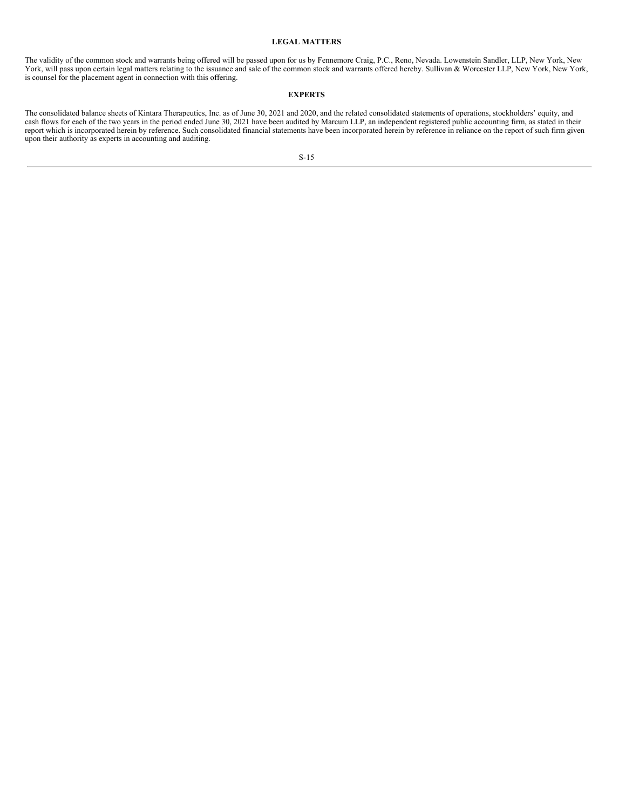### **LEGAL MATTERS**

<span id="page-16-0"></span>The validity of the common stock and warrants being offered will be passed upon for us by Fennemore Craig, P.C., Reno, Nevada. Lowenstein Sandler, LLP, New York, New York, will pass upon certain legal matters relating to the issuance and sale of the common stock and warrants offered hereby. Sullivan & Worcester LLP, New York, New York, is counsel for the placement agent in connection with this offering.

## **EXPERTS**

<span id="page-16-1"></span>The consolidated balance sheets of Kintara Therapeutics, Inc. as of June 30, 2021 and 2020, and the related consolidated statements of operations, stockholders' equity, and cash flows for each of the two years in the period ended June 30, 2021 have been audited by Marcum LLP, an independent registered public accounting firm, as stated in their report which is incorporated herein by reference. Such consolidated financial statements have been incorporated herein by reference in reliance on the report of such firm given upon their authority as experts in accounting and auditing.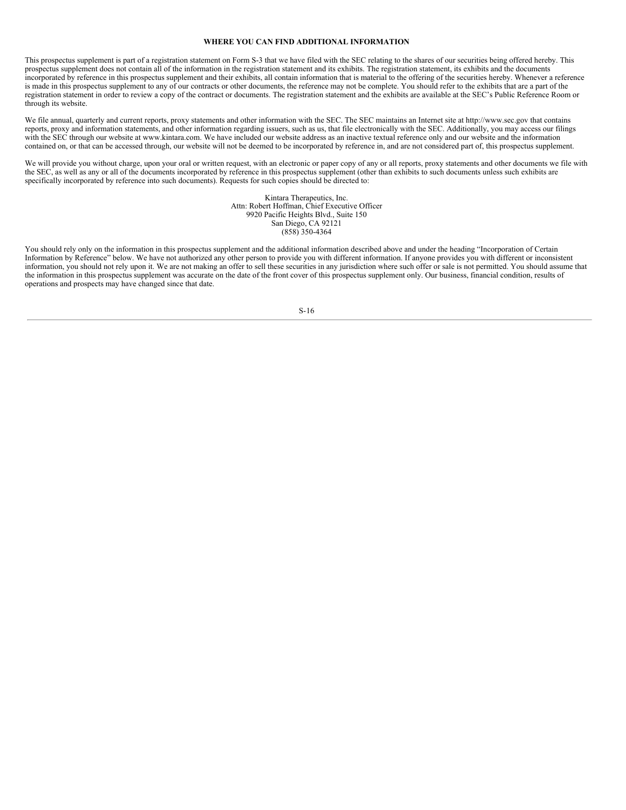#### **WHERE YOU CAN FIND ADDITIONAL INFORMATION**

<span id="page-17-0"></span>This prospectus supplement is part of a registration statement on Form S-3 that we have filed with the SEC relating to the shares of our securities being offered hereby. This prospectus supplement does not contain all of the information in the registration statement and its exhibits. The registration statement, its exhibits and the documents incorporated by reference in this prospectus supplement and their exhibits, all contain information that is material to the offering of the securities hereby. Whenever a reference is made in this prospectus supplement to any of our contracts or other documents, the reference may not be complete. You should refer to the exhibits that are a part of the registration statement in order to review a copy of the contract or documents. The registration statement and the exhibits are available at the SEC's Public Reference Room or through its website.

We file annual, quarterly and current reports, proxy statements and other information with the SEC. The SEC maintains an Internet site at http://www.sec.gov that contains reports, proxy and information statements, and other information regarding issuers, such as us, that file electronically with the SEC. Additionally, you may access our filings with the SEC through our website at www.kintara.com. We have included our website address as an inactive textual reference only and our website and the information contained on, or that can be accessed through, our website will not be deemed to be incorporated by reference in, and are not considered part of, this prospectus supplement.

We will provide you without charge, upon your oral or written request, with an electronic or paper copy of any or all reports, proxy statements and other documents we file with the SEC, as well as any or all of the documents incorporated by reference in this prospectus supplement (other than exhibits to such documents unless such exhibits are specifically incorporated by reference into such documents). Requests for such copies should be directed to:

> Kintara Therapeutics, Inc. Attn: Robert Hoffman, Chief Executive Officer 9920 Pacific Heights Blvd., Suite 150 San Diego, CA 92121 (858) 350-4364

You should rely only on the information in this prospectus supplement and the additional information described above and under the heading "Incorporation of Certain Information by Reference" below. We have not authorized any other person to provide you with different information. If anyone provides you with different or inconsistent information, you should not rely upon it. We are not making an offer to sell these securities in any jurisdiction where such offer or sale is not permitted. You should assume that the information in this prospectus supplement was accurate on the date of the front cover of this prospectus supplement only. Our business, financial condition, results of operations and prospects may have changed since that date.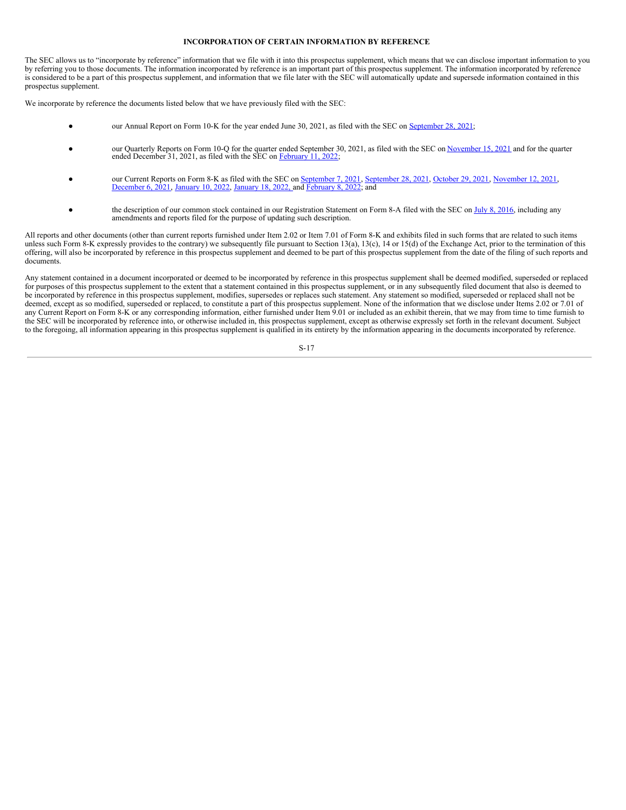## **INCORPORATION OF CERTAIN INFORMATION BY REFERENCE**

<span id="page-18-0"></span>The SEC allows us to "incorporate by reference" information that we file with it into this prospectus supplement, which means that we can disclose important information to you by referring you to those documents. The information incorporated by reference is an important part of this prospectus supplement. The information incorporated by reference is considered to be a part of this prospectus supplement, and information that we file later with the SEC will automatically update and supersede information contained in this prospectus supplement.

We incorporate by reference the documents listed below that we have previously filed with the SEC:

- our Annual Report on Form 10-K for the year ended June 30, 2021, as filed with the SEC on [September](https://www.sec.gov/ix?doc=/Archives/edgar/data/1498382/000156459021049235/ktra-10k_20210630.htm) 28, 2021;
- our Quarterly Reports on Form 10-Q for the quarter ended September 30, 2021, as filed with the SEC on [November](https://www.sec.gov/ix?doc=/Archives/edgar/data/1498382/000156459021056793/ktra-10q_20210930.htm) 15, 2021 and for the quarter ended December 31, 2021, as filed with the SEC on [February](https://www.sec.gov/ix?doc=/Archives/edgar/data/1498382/000156459022004688/ktra-10q_20211231.htm) 11, 2022;
- our Current Reports on Form 8-K as filed with the SEC on <u>[September](https://www.sec.gov/ix?doc=/Archives/edgar/data/1498382/000156459021049108/ktra-8k_20210923.htm) 7, 2021</u>, September 28, 2021, [October](https://www.sec.gov/ix?doc=/Archives/edgar/data/1498382/000156459021052943/ktra-8k_20211025.htm) 29, 2021, [November](https://www.sec.gov/ix?doc=/Archives/edgar/data/1498382/000156459021056375/ktra-8k_20211108.htm) 12, 2021, [December](https://www.sec.gov/ix?doc=/Archives/edgar/data/1498382/000156459021059374/ktra-8k_20211203.htm) 6, 2021, [January](https://www.sec.gov/ix?doc=/Archives/edgar/data/1498382/000156459022001469/ktra-8k_20220118.htm) 10, 2022, January 18, 2022, and [February](https://www.sec.gov/ix?doc=/Archives/edgar/data/1498382/000156459022004233/ktra-8k_20220204.htm) 8, 2022; and
- the description of our common stock contained in our Registration Statement on Form 8-A filed with the SEC on July 8, [2016](https://www.sec.gov/Archives/edgar/data/1498382/000121390016014826/f8a12b0716_delmar.htm), including any amendments and reports filed for the purpose of updating such description.

All reports and other documents (other than current reports furnished under Item 2.02 or Item 7.01 of Form 8-K and exhibits filed in such forms that are related to such items unless such Form 8-K expressly provides to the contrary) we subsequently file pursuant to Section 13(a), 13(c), 14 or 15(d) of the Exchange Act, prior to the termination of this offering, will also be incorporated by reference in this prospectus supplement and deemed to be part of this prospectus supplement from the date of the filing of such reports and offering, will also be incorporated by refe documents.

Any statement contained in a document incorporated or deemed to be incorporated by reference in this prospectus supplement shall be deemed modified, superseded or replaced for purposes of this prospectus supplement to the extent that a statement contained in this prospectus supplement, or in any subsequently filed document that also is deemed to be incorporated by reference in this prospectus supplement, modifies, supersedes or replaces such statement. Any statement so modified, superseded or replaced shall not be deemed, except as so modified, superseded or replaced, to constitute a part of this prospectus supplement. None of the information that we disclose under Items 2.02 or 7.01 of any Current Report on Form 8-K or any corresponding information, either furnished under Item 9.01 or included as an exhibit therein, that we may from time to time furnish to the SEC will be incorporated by reference into, or otherwise included in, this prospectus supplement, except as otherwise expressly set forth in the relevant document. Subject to the foregoing, all information appearing in this prospectus supplement is qualified in its entirety by the information appearing in the documents incorporated by reference.

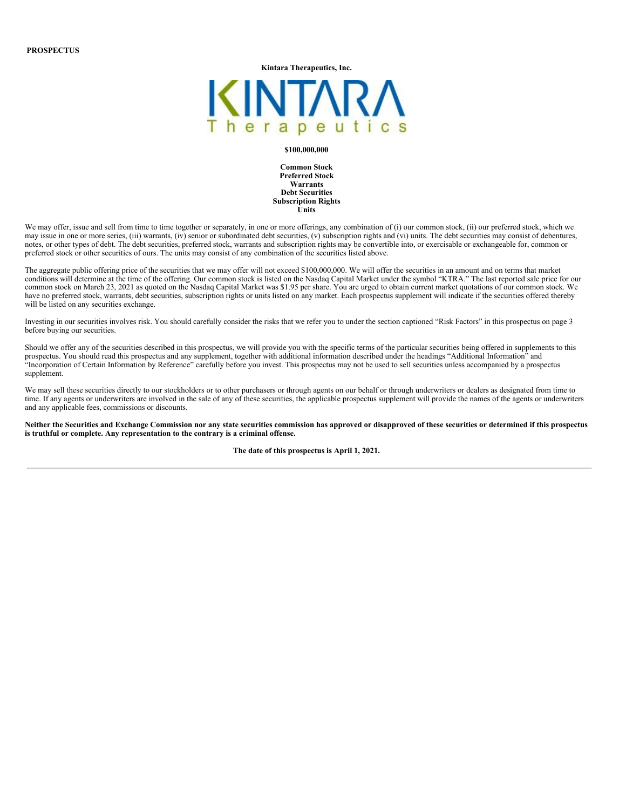**Kintara Therapeutics, Inc.** KINT herapeutic

#### **\$100,000,000**

**Common Stock Preferred Stock Warrants Debt Securities Subscription Rights Units**

We may offer, issue and sell from time to time together or separately, in one or more offerings, any combination of (i) our common stock, (ii) our preferred stock, which we may issue in one or more series, (iii) warrants, (iv) senior or subordinated debt securities, (v) subscription rights and (vi) units. The debt securities may consist of debentures, notes, or other types of debt. The debt securities, preferred stock, warrants and subscription rights may be convertible into, or exercisable or exchangeable for, common or preferred stock or other securities of ours. The units may consist of any combination of the securities listed above.

The aggregate public offering price of the securities that we may offer will not exceed \$100,000,000. We will offer the securities in an amount and on terms that market conditions will determine at the time of the offering. Our common stock is listed on the Nasdaq Capital Market under the symbol "KTRA." The last reported sale price for our common stock on March 23, 2021 as quoted on the Nasdaq Capital Market was \$1.95 per share. You are urged to obtain current market quotations of our common stock. We have no preferred stock, warrants, debt securities, subscription rights or units listed on any market. Each prospectus supplement will indicate if the securities offered thereby will be listed on any securities exchange.

Investing in our securities involves risk. You should carefully consider the risks that we refer you to under the section captioned "Risk Factors" in this prospectus on page 3 before buying our securities.

Should we offer any of the securities described in this prospectus, we will provide you with the specific terms of the particular securities being offered in supplements to this prospectus. You should read this prospectus and any supplement, together with additional information described under the headings "Additional Information" and "Incorporation of Certain Information by Reference" carefully before you invest. This prospectus may not be used to sell securities unless accompanied by a prospectus supplement.

We may sell these securities directly to our stockholders or to other purchasers or through agents on our behalf or through underwriters or dealers as designated from time to time. If any agents or underwriters are involved in the sale of any of these securities, the applicable prospectus supplement will provide the names of the agents or underwriters and any applicable fees, commissions or discounts.

Neither the Securities and Exchange Commission nor any state securities commission has approved or disapproved of these securities or determined if this prospectus **is truthful or complete. Any representation to the contrary is a criminal offense.**

**The date of this prospectus is April 1, 2021.**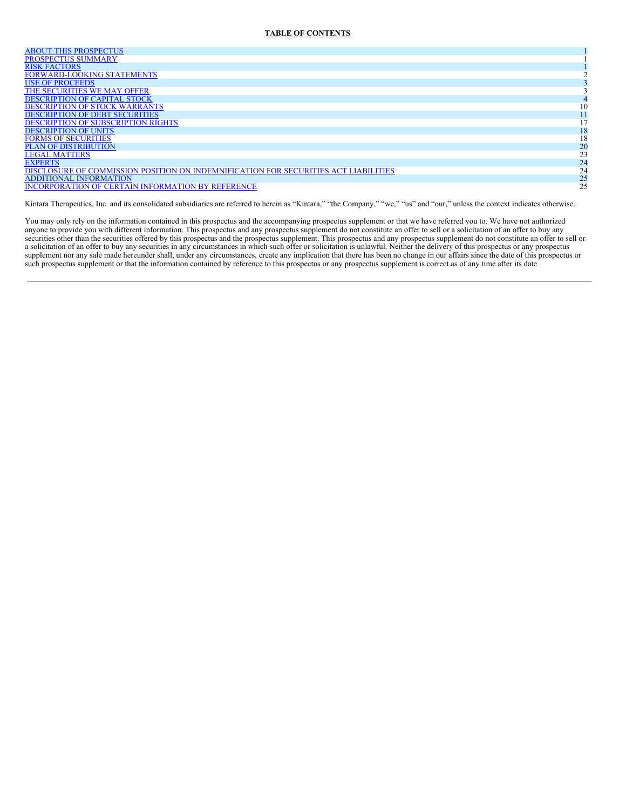## **TABLE OF CONTENTS**

| 10 |
|----|
|    |
| 17 |
| 18 |
| 18 |
| 20 |
| 23 |
| 24 |
| 24 |
| 25 |
| 25 |
|    |

Kintara Therapeutics, Inc. and its consolidated subsidiaries are referred to herein as "Kintara," "the Company," "we," "us" and "our," unless the context indicates otherwise.

You may only rely on the information contained in this prospectus and the accompanying prospectus supplement or that we have referred you to. We have not authorized anyone to provide you with different information. This prospectus and any prospectus supplement do not constitute an offer to sell or a solicitation of an offer to buy any securities other than the securities offered by this prospectus and the prospectus supplement. This prospectus and any prospectus supplement do not constitute an offer to sell or a solicitation of an offer to buy any securities in any circumstances in which such offer or solicitation is unlawful. Neither the delivery of this prospectus or any prospectus supplement nor any sale made hereunder shall, under any circumstances, create any implication that there has been no change in our affairs since the date of this prospectus or such prospectus supplement or that the information contained by reference to this prospectus or any prospectus supplement is correct as of any time after its date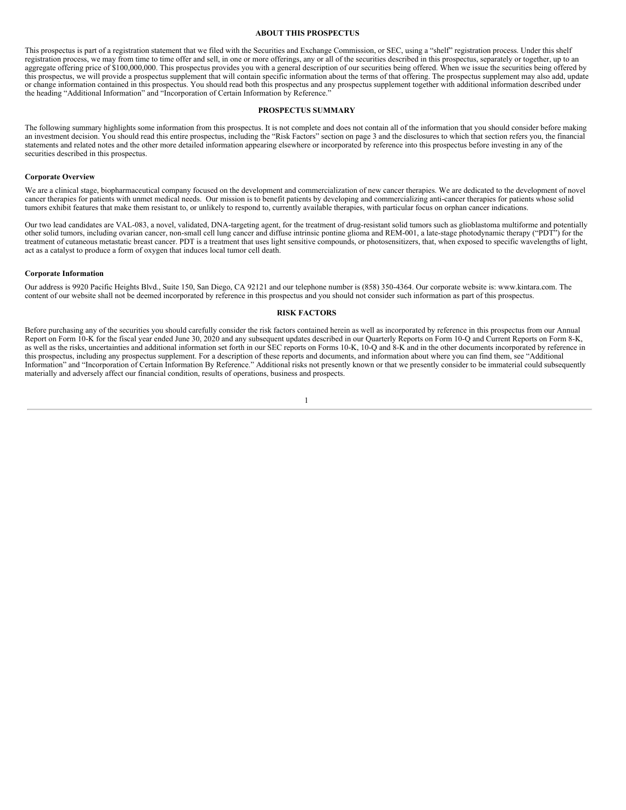## **ABOUT THIS PROSPECTUS**

<span id="page-21-0"></span>This prospectus is part of a registration statement that we filed with the Securities and Exchange Commission, or SEC, using a "shelf" registration process. Under this shelf registration process, we may from time to time offer and sell, in one or more offerings, any or all of the securities described in this prospectus, separately or together, up to an aggregate offering price of \$100,000,000. This prospectus provides you with a general description of our securities being offered. When we issue the securities being offered by this prospectus, we will provide a prospectus supplement that will contain specific information about the terms of that offering. The prospectus supplement may also add, update or change information contained in this prospectus. You should read both this prospectus and any prospectus supplement together with additional information described under the heading "Additional Information" and "Incorporation of Certain Information by Reference."

#### **PROSPECTUS SUMMARY**

<span id="page-21-1"></span>The following summary highlights some information from this prospectus. It is not complete and does not contain all of the information that you should consider before making an investment decision. You should read this entire prospectus, including the "Risk Factors" section on page 3 and the disclosures to which that section refers you, the financial statements and related notes and the other more detailed information appearing elsewhere or incorporated by reference into this prospectus before investing in any of the securities described in this prospectus.

#### **Corporate Overview**

We are a clinical stage, biopharmaceutical company focused on the development and commercialization of new cancer therapies. We are dedicated to the development of novel cancer therapies for patients with unmet medical needs. Our mission is to benefit patients by developing and commercializing anti-cancer therapies for patients whose solid tumors exhibit features that make them resistant to, or unlikely to respond to, currently available therapies, with particular focus on orphan cancer indications.

Our two lead candidates are VAL-083, a novel, validated, DNA-targeting agent, for the treatment of drug-resistant solid tumors such as glioblastoma multiforme and potentially other solid tumors, including ovarian cancer, non-small cell lung cancer and diffuse intrinsic pontine glioma and REM-001, a late-stage photodynamic therapy ("PDT") for the treatment of cutaneous metastatic breast cancer. PDT is a treatment that uses light sensitive compounds, or photosensitizers, that, when exposed to specific wavelengths of light, act as a catalyst to produce a form of oxygen that induces local tumor cell death.

#### **Corporate Information**

Our address is 9920 Pacific Heights Blvd., Suite 150, San Diego, CA 92121 and our telephone number is (858) 350-4364. Our corporate website is: www.kintara.com. The content of our website shall not be deemed incorporated by reference in this prospectus and you should not consider such information as part of this prospectus.

#### **RISK FACTORS**

<span id="page-21-2"></span>Before purchasing any of the securities you should carefully consider the risk factors contained herein as well as incorporated by reference in this prospectus from our Annual Report on Form 10-K for the fiscal year ended June 30, 2020 and any subsequent updates described in our Quarterly Reports on Form 10-Q and Current Reports on Form 8-K, as well as the risks, uncertainties and additional information set forth in our SEC reports on Forms 10-K, 10-Q and 8-K and in the other documents incorporated by reference in this prospectus, including any prospectus supplement. For a description of these reports and documents, and information about where you can find them, see "Additional Information" and "Incorporation of Certain Information By Reference." Additional risks not presently known or that we presently consider to be immaterial could subsequently materially and adversely affect our financial condition, results of operations, business and prospects.

#### 1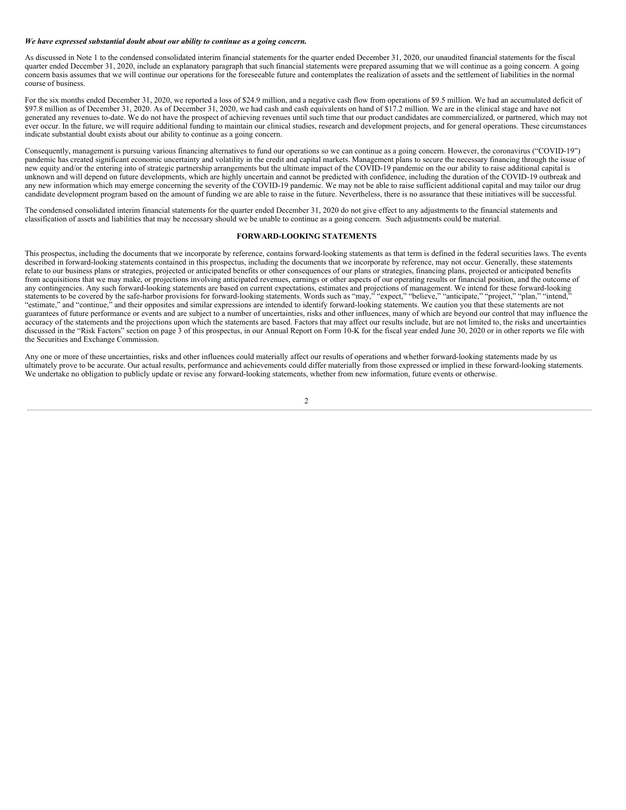#### *We have expressed substantial doubt about our ability to continue as a going concern.*

As discussed in Note 1 to the condensed consolidated interim financial statements for the quarter ended December 31, 2020, our unaudited financial statements for the fiscal quarter ended December 31, 2020, include an explanatory paragraph that such financial statements were prepared assuming that we will continue as a going concern. A going concern basis assumes that we will continue our operations for the foreseeable future and contemplates the realization of assets and the settlement of liabilities in the normal course of business.

For the six months ended December 31, 2020, we reported a loss of \$24.9 million, and a negative cash flow from operations of \$9.5 million. We had an accumulated deficit of \$97.8 million as of December 31, 2020. As of December 31, 2020, we had cash and cash equivalents on hand of \$17.2 million. We are in the clinical stage and have not generated any revenues to-date. We do not have the prospect of achieving revenues until such time that our product candidates are commercialized, or partnered, which may not ever occur. In the future, we will require additional funding to maintain our clinical studies, research and development projects, and for general operations. These circumstances indicate substantial doubt exists about our ability to continue as a going concern.

Consequently, management is pursuing various financing alternatives to fund our operations so we can continue as a going concern. However, the coronavirus ("COVID-19") pandemic has created significant economic uncertainty and volatility in the credit and capital markets. Management plans to secure the necessary financing through the issue of new equity and/or the entering into of strategic partnership arrangements but the ultimate impact of the COVID-19 pandemic on the our ability to raise additional capital is unknown and will depend on future developments, which are highly uncertain and cannot be predicted with confidence, including the duration of the COVID-19 outbreak and any new information which may emerge concerning the severity of the COVID-19 pandemic. We may not be able to raise sufficient additional capital and may tailor our drug candidate development program based on the amount of funding we are able to raise in the future. Nevertheless, there is no assurance that these initiatives will be successful.

The condensed consolidated interim financial statements for the quarter ended December 31, 2020 do not give effect to any adjustments to the financial statements and classification of assets and liabilities that may be necessary should we be unable to continue as a going concern. Such adjustments could be material.

#### **FORWARD-LOOKING STATEMENTS**

<span id="page-22-0"></span>This prospectus, including the documents that we incorporate by reference, contains forward-looking statements as that term is defined in the federal securities laws. The events described in forward-looking statements contained in this prospectus, including the documents that we incorporate by reference, may not occur. Generally, these statements relate to our business plans or strategies, projected or anticipated benefits or other consequences of our plans or strategies, financing plans, projected or anticipated benefits from acquisitions that we may make, or projections involving anticipated revenues, earnings or other aspects of our operating results or financial position, and the outcome of any contingencies. Any such forward-looking statements are based on current expectations, estimates and projections of management. We intend for these forward-looking statements to be covered by the safe-harbor provisions for forward-looking statements. Words such as "may," "expect," "believe," "anticipate," "project," "plan," "intend," "estimate," and "continue," and their opposites and similar expressions are intended to identify forward-looking statements. We caution you that these statements are not guarantees of future performance or events and are subject to a number of uncertainties, risks and other influences, many of which are beyond our control that may influence the accuracy of the statements and the projections upon which the statements are based. Factors that may affect our results include, but are not limited to, the risks and uncertainties discussed in the "Risk Factors" section on page 3 of this prospectus, in our Annual Report on Form 10-K for the fiscal year ended June 30, 2020 or in other reports we file with the Securities and Exchange Commission.

Any one or more of these uncertainties, risks and other influences could materially affect our results of operations and whether forward-looking statements made by us ultimately prove to be accurate. Our actual results, performance and achievements could differ materially from those expressed or implied in these forward-looking statements. We undertake no obligation to publicly update or revise any forward-looking statements, whether from new information, future events or otherwise.

 $\overline{2}$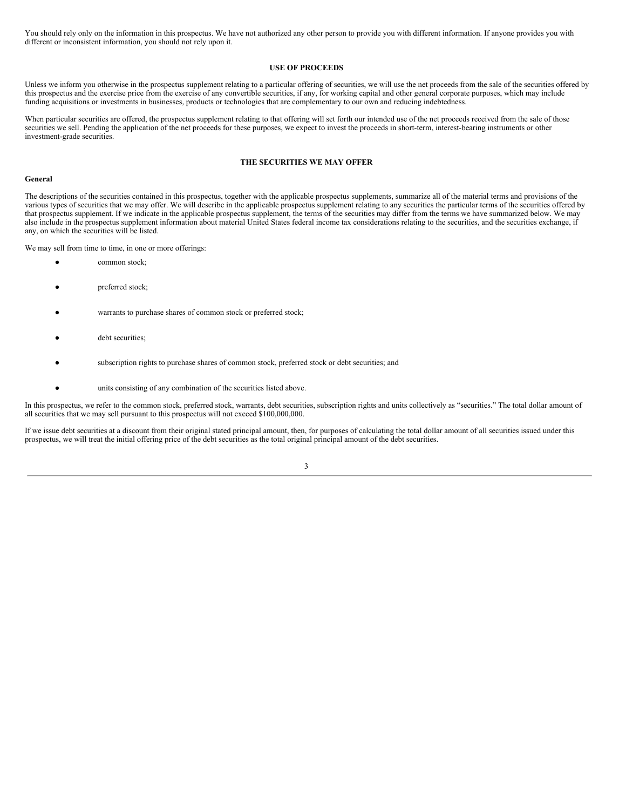You should rely only on the information in this prospectus. We have not authorized any other person to provide you with different information. If anyone provides you with different or inconsistent information, you should not rely upon it.

## **USE OF PROCEEDS**

<span id="page-23-0"></span>Unless we inform you otherwise in the prospectus supplement relating to a particular offering of securities, we will use the net proceeds from the sale of the securities offered by this prospectus and the exercise price from the exercise of any convertible securities, if any, for working capital and other general corporate purposes, which may include funding acquisitions or investments in businesses, products or technologies that are complementary to our own and reducing indebtedness.

When particular securities are offered, the prospectus supplement relating to that offering will set forth our intended use of the net proceeds received from the sale of those securities we sell. Pending the application of the net proceeds for these purposes, we expect to invest the proceeds in short-term, interest-bearing instruments or other investment-grade securities.

## **THE SECURITIES WE MAY OFFER**

#### <span id="page-23-1"></span>**General**

The descriptions of the securities contained in this prospectus, together with the applicable prospectus supplements, summarize all of the material terms and provisions of the various types of securities that we may offer. We will describe in the applicable prospectus supplement relating to any securities the particular terms of the securities offered by that prospectus supplement. If we indicate in the applicable prospectus supplement, the terms of the securities may differ from the terms we have summarized below. We may also include in the prospectus supplement information about material United States federal income tax considerations relating to the securities, and the securities exchange, if any, on which the securities will be listed.

We may sell from time to time, in one or more offerings:

- common stock;
- preferred stock;
- warrants to purchase shares of common stock or preferred stock;
- debt securities;
- subscription rights to purchase shares of common stock, preferred stock or debt securities; and
- units consisting of any combination of the securities listed above.

In this prospectus, we refer to the common stock, preferred stock, warrants, debt securities, subscription rights and units collectively as "securities." The total dollar amount of all securities that we may sell pursuant to this prospectus will not exceed \$100,000,000.

If we issue debt securities at a discount from their original stated principal amount, then, for purposes of calculating the total dollar amount of all securities issued under this prospectus, we will treat the initial offering price of the debt securities as the total original principal amount of the debt securities.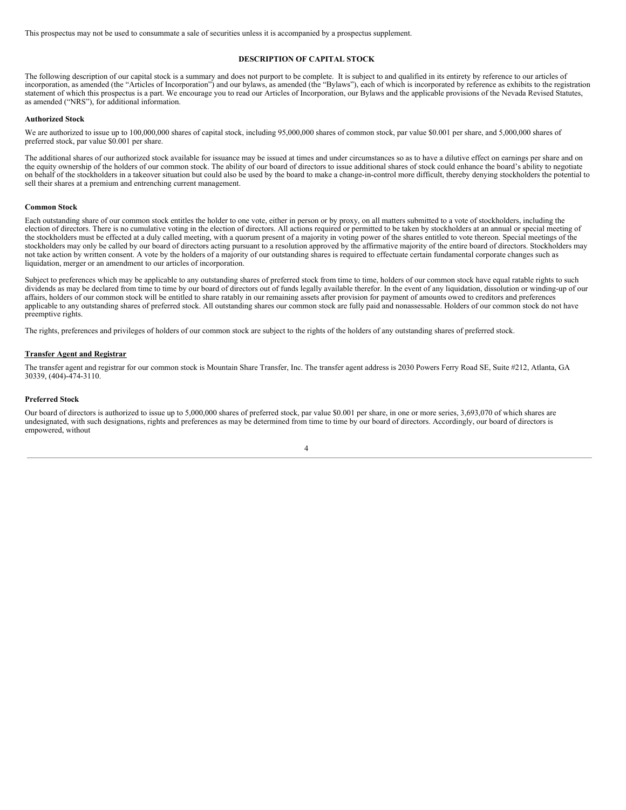This prospectus may not be used to consummate a sale of securities unless it is accompanied by a prospectus supplement.

#### **DESCRIPTION OF CAPITAL STOCK**

<span id="page-24-0"></span>The following description of our capital stock is a summary and does not purport to be complete. It is subject to and qualified in its entirety by reference to our articles of incorporation, as amended (the "Articles of Incorporation") and our bylaws, as amended (the "Bylaws"), each of which is incorporated by reference as exhibits to the registration incorporation. statement of which this prospectus is a part. We encourage you to read our Articles of Incorporation, our Bylaws and the applicable provisions of the Nevada Revised Statutes, as amended ("NRS"), for additional information.

## **Authorized Stock**

We are authorized to issue up to 100,000,000 shares of capital stock, including 95,000,000 shares of common stock, par value \$0,001 per share, and 5,000,000 shares of preferred stock, par value \$0.001 per share.

The additional shares of our authorized stock available for issuance may be issued at times and under circumstances so as to have a dilutive effect on earnings per share and on the equity ownership of the holders of our common stock. The ability of our board of directors to issue additional shares of stock could enhance the board's ability to negotiate on behalf of the stockholders in a takeover situation but could also be used by the board to make a change-in-control more difficult, thereby denying stockholders the potential to sell their shares at a premium and entrenching current management.

## **Common Stock**

Each outstanding share of our common stock entitles the holder to one vote, either in person or by proxy, on all matters submitted to a vote of stockholders, including the election of directors. There is no cumulative voting in the election of directors. All actions required or permitted to be taken by stockholders at an annual or special meeting of the stockholders must be effected at a duly called meeting, with a quorum present of a majority in voting power of the shares entitled to vote thereon. Special meetings of the stockholders may only be called by our board of directors acting pursuant to a resolution approved by the affirmative majority of the entire board of directors. Stockholders may not take action by written consent. A vote by the holders of a majority of our outstanding shares is required to effectuate certain fundamental corporate changes such as liquidation, merger or an amendment to our articles of incorporation.

Subject to preferences which may be applicable to any outstanding shares of preferred stock from time to time, holders of our common stock have equal ratable rights to such dividends as may be declared from time to time by our board of directors out of funds legally available therefor. In the event of any liquidation, dissolution or winding-up of our affairs, holders of our common stock will be entitled to share ratably in our remaining assets after provision for payment of amounts owed to creditors and preferences applicable to any outstanding shares of preferred stock. All outstanding shares our common stock are fully paid and nonassessable. Holders of our common stock do not have preemptive rights.

The rights, preferences and privileges of holders of our common stock are subject to the rights of the holders of any outstanding shares of preferred stock.

## **Transfer Agent and Registrar**

The transfer agent and registrar for our common stock is Mountain Share Transfer, Inc. The transfer agent address is 2030 Powers Ferry Road SE, Suite #212, Atlanta, GA 30339, (404)-474-3110.

## **Preferred Stock**

Our board of directors is authorized to issue up to 5,000,000 shares of preferred stock, par value \$0.001 per share, in one or more series, 3,693,070 of which shares are undesignated, with such designations, rights and preferences as may be determined from time to time by our board of directors. Accordingly, our board of directors is empowered, without

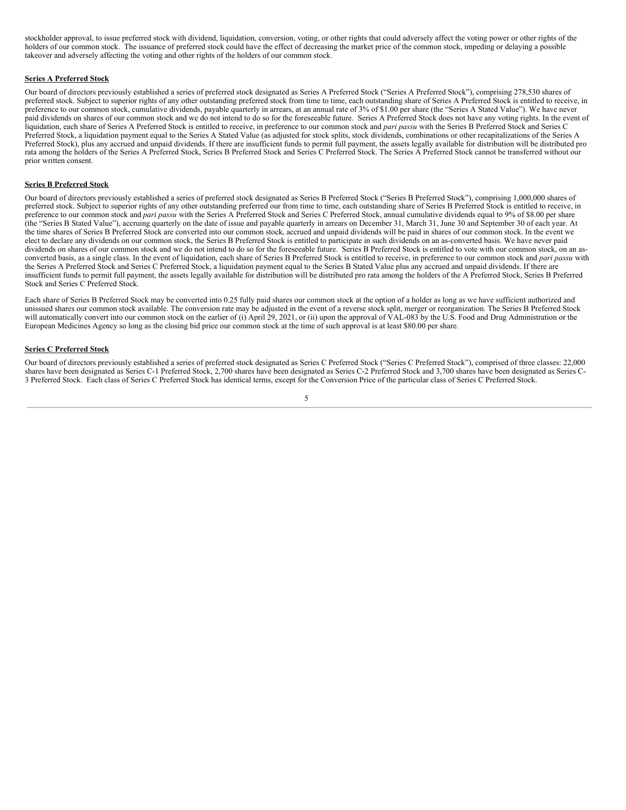stockholder approval, to issue preferred stock with dividend, liquidation, conversion, voting, or other rights that could adversely affect the voting power or other rights of the holders of our common stock. The issuance of preferred stock could have the effect of decreasing the market price of the common stock, impeding or delaying a possible takeover and adversely affecting the voting and other rights of the holders of our common stock.

#### **Series A Preferred Stock**

Our board of directors previously established a series of preferred stock designated as Series A Preferred Stock ("Series A Preferred Stock"), comprising 278,530 shares of preferred stock. Subject to superior rights of any other outstanding preferred stock from time to time, each outstanding share of Series A Preferred Stock is entitled to receive, in preference to our common stock, cumulative dividends, payable quarterly in arrears, at an annual rate of 3% of \$1.00 per share (the "Series A Stated Value"). We have never paid dividends on shares of our common stock and we do not intend to do so for the foreseeable future. Series A Preferred Stock does not have any voting rights. In the event of liquidation, each share of Series A Preferred Stock is entitled to receive, in preference to our common stock and *pari passu* with the Series B Preferred Stock and Series C Preferred Stock, a liquidation payment equal to the Series A Stated Value (as adjusted for stock splits, stock dividends, combinations or other recapitalizations of the Series A Preferred Stock), plus any accrued and unpaid dividends. If there are insufficient funds to permit full payment, the assets legally available for distribution will be distributed pro rata among the holders of the Series A Preferred Stock, Series B Preferred Stock and Series C Preferred Stock. The Series A Preferred Stock cannot be transferred without our prior written consent.

## **Series B Preferred Stock**

Our board of directors previously established a series of preferred stock designated as Series B Preferred Stock ("Series B Preferred Stock"), comprising 1,000,000 shares of preferred stock. Subject to superior rights of any other outstanding preferred our from time to time, each outstanding share of Series B Preferred Stock is entitled to receive, in preference to our common stock and *pari passu* with the Series A Preferred Stock and Series C Preferred Stock, annual cumulative dividends equal to 9% of \$8.00 per share (the "Series B Stated Value"), accruing quarterly on the date of issue and payable quarterly in arrears on December 31, March 31, June 30 and September 30 of each year. At the time shares of Series B Preferred Stock are converted into our common stock, accrued and unpaid dividends will be paid in shares of our common stock. In the event we elect to declare any dividends on our common stock, the Series B Preferred Stock is entitled to participate in such dividends on an as-converted basis. We have never paid dividends on shares of our common stock and we do not intend to do so for the foreseeable future. Series B Preferred Stock is entitled to vote with our common stock, on an asconverted basis, as a single class. In the event of liquidation, each share of Series B Preferred Stock is entitled to receive, in preference to our common stock and *pari passu* with the Series A Preferred Stock and Series C Preferred Stock, a liquidation payment equal to the Series B Stated Value plus any accrued and unpaid dividends. If there are insufficient funds to permit full payment, the assets legally available for distribution will be distributed pro rata among the holders of the A Preferred Stock, Series B Preferred Stock and Series C Preferred Stock.

Each share of Series B Preferred Stock may be converted into 0.25 fully paid shares our common stock at the option of a holder as long as we have sufficient authorized and unissued shares our common stock available. The conversion rate may be adjusted in the event of a reverse stock split, merger or reorganization. The Series B Preferred Stock will automatically convert into our common stock on the earlier of (i) April 29, 2021, or (ii) upon the approval of VAL-083 by the U.S. Food and Drug Administration or the European Medicines Agency so long as the closing bid price our common stock at the time of such approval is at least \$80.00 per share.

#### **Series C Preferred Stock**

Our board of directors previously established a series of preferred stock designated as Series C Preferred Stock ("Series C Preferred Stock"), comprised of three classes: 22,000 shares have been designated as Series C-1 Preferred Stock, 2,700 shares have been designated as Series C-2 Preferred Stock and 3,700 shares have been designated as Series C-3 Preferred Stock. Each class of Series C Preferred Stock has identical terms, except for the Conversion Price of the particular class of Series C Preferred Stock.

5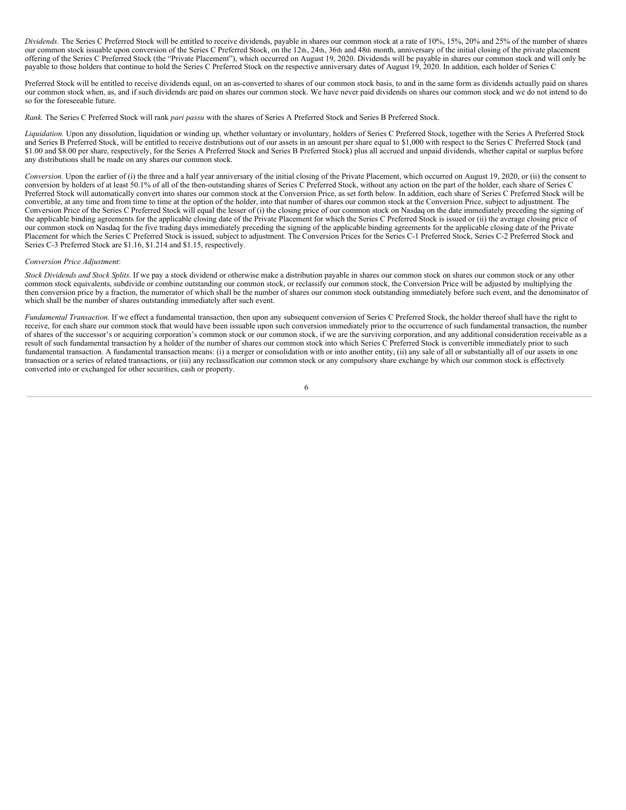*Dividends*. The Series C Preferred Stock will be entitled to receive dividends, payable in shares our common stock at a rate of 10%, 15%, 20% and 25% of the number of shares our common stock issuable upon conversion of the Series C Preferred Stock, on the 12th, 24th, 36th and 48th month, anniversary of the initial closing of the private placement offering of the Series C Preferred Stock (the "Private Placement"), which occurred on August 19, 2020. Dividends will be payable in shares our common stock and will only be payable to those holders that continue to hold the Series C Preferred Stock on the respective anniversary dates of August 19, 2020. In addition, each holder of Series C

Preferred Stock will be entitled to receive dividends equal, on an as-converted to shares of our common stock basis, to and in the same form as dividends actually paid on shares our common stock when, as, and if such dividends are paid on shares our common stock. We have never paid dividends on shares our common stock and we do not intend to do so for the foreseeable future.

*Rank.* The Series C Preferred Stock will rank *pari passu* with the shares of Series A Preferred Stock and Series B Preferred Stock.

*Liquidation.* Upon any dissolution, liquidation or winding up, whether voluntary or involuntary, holders of Series C Preferred Stock, together with the Series A Preferred Stock and Series B Preferred Stock, will be entitled to receive distributions out of our assets in an amount per share equal to \$1,000 with respect to the Series C Preferred Stock (and \$1.00 and \$8.00 per share, respectively, for the Series A Preferred Stock and Series B Preferred Stock) plus all accrued and unpaid dividends, whether capital or surplus before any distributions shall be made on any shares our common stock.

*Conversion.* Upon the earlier of (i) the three and a half year anniversary of the initial closing of the Private Placement, which occurred on August 19, 2020, or (ii) the consent to conversion by holders of at least 50.1% of all of the then-outstanding shares of Series C Preferred Stock, without any action on the part of the holder, each share of Series C Preferred Stock will automatically convert into shares our common stock at the Conversion Price, as set forth below. In addition, each share of Series C Preferred Stock will be convertible, at any time and from time to time at the option of the holder, into that number of shares our common stock at the Conversion Price, subject to adjustment. The Conversion Price of the Series C Preferred Stock will equal the lesser of (i) the closing price of our common stock on Nasdaq on the date immediately preceding the signing of the applicable binding agreements for the applicable closing date of the Private Placement for which the Series C Preferred Stock is issued or (ii) the average closing price of our common stock on Nasdaq for the five trading days immediately preceding the signing of the applicable binding agreements for the applicable closing date of the Private Placement for which the Series C Preferred Stock is issued, subject to adjustment. The Conversion Prices for the Series C-1 Preferred Stock, Series C-2 Preferred Stock and Series C-3 Preferred Stock are \$1.16, \$1.214 and \$1.15, respectively.

#### *Conversion Price Adjustment*:

*Stock Dividends and Stock Splits*. If we pay a stock dividend or otherwise make a distribution payable in shares our common stock on shares our common stock or any other common stock equivalents, subdivide or combine outstanding our common stock, or reclassify our common stock, the Conversion Price will be adjusted by multiplying the then conversion price by a fraction, the numerator of which shall be the number of shares our common stock outstanding immediately before such event, and the denominator of which shall be the number of shares outstanding immediately after such event.

*Fundamental Transaction*. If we effect a fundamental transaction, then upon any subsequent conversion of Series C Preferred Stock, the holder thereof shall have the right to receive, for each share our common stock that would have been issuable upon such conversion immediately prior to the occurrence of such fundamental transaction, the number of shares of the successor's or acquiring corporation's common stock or our common stock, if we are the surviving corporation, and any additional consideration receivable as a result of such fundamental transaction by a holder of the number of shares our common stock into which Series C Preferred Stock is convertible immediately prior to such fundamental transaction. A fundamental transaction means: (i) a merger or consolidation with or into another entity, (ii) any sale of all or substantially all of our assets in one transaction or a series of related transactions, or (iii) any reclassification our common stock or any compulsory share exchange by which our common stock is effectively converted into or exchanged for other securities, cash or property.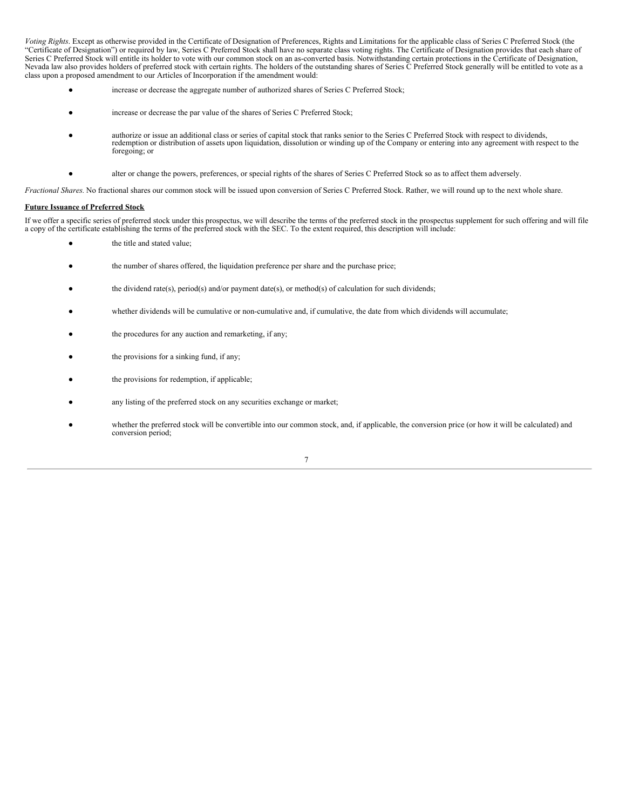*Voting Rights*. Except as otherwise provided in the Certificate of Designation of Preferences, Rights and Limitations for the applicable class of Series C Preferred Stock (the "Certificate of Designation") or required by law, Series C Preferred Stock shall have no separate class voting rights. The Certificate of Designation provides that each share of Series C Preferred Stock will entitle its holder to vote with our common stock on an as-converted basis. Notwithstanding certain protections in the Certificate of Designation, Nevada law also provides holders of preferred stock with certain rights. The holders of the outstanding shares of Series C Preferred Stock generally will be entitled to vote as a class upon a proposed amendment to our Articles of Incorporation if the amendment would:

- increase or decrease the aggregate number of authorized shares of Series C Preferred Stock;
- increase or decrease the par value of the shares of Series C Preferred Stock;
- authorize or issue an additional class or series of capital stock that ranks senior to the Series C Preferred Stock with respect to dividends, redemption or distribution of assets upon liquidation, dissolution or winding up of the Company or entering into any agreement with respect to the foregoing; or
- alter or change the powers, preferences, or special rights of the shares of Series C Preferred Stock so as to affect them adversely.

*Fractional Shares.* No fractional shares our common stock will be issued upon conversion of Series C Preferred Stock. Rather, we will round up to the next whole share.

## **Future Issuance of Preferred Stock**

If we offer a specific series of preferred stock under this prospectus, we will describe the terms of the preferred stock in the prospectus supplement for such offering and will file a copy of the certificate establishing the terms of the preferred stock with the SEC. To the extent required, this description will include:

- the title and stated value;
- the number of shares offered, the liquidation preference per share and the purchase price;
- the dividend rate(s), period(s) and/or payment date(s), or method(s) of calculation for such dividends;
- whether dividends will be cumulative or non-cumulative and, if cumulative, the date from which dividends will accumulate;
- the procedures for any auction and remarketing, if any;
- the provisions for a sinking fund, if any;
- the provisions for redemption, if applicable;
- any listing of the preferred stock on any securities exchange or market;
- whether the preferred stock will be convertible into our common stock, and, if applicable, the conversion price (or how it will be calculated) and conversion period;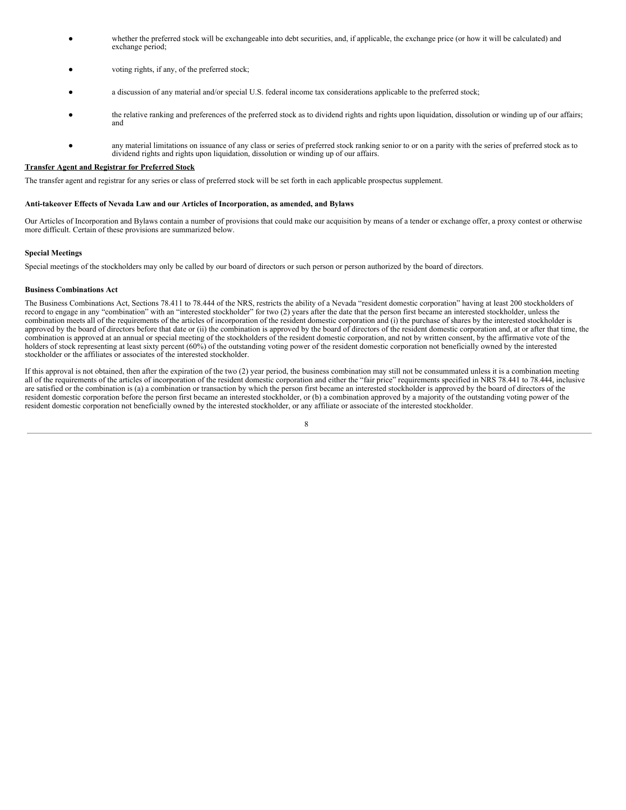- whether the preferred stock will be exchangeable into debt securities, and, if applicable, the exchange price (or how it will be calculated) and exchange period;
- voting rights, if any, of the preferred stock;
- a discussion of any material and/or special U.S. federal income tax considerations applicable to the preferred stock;
- the relative ranking and preferences of the preferred stock as to dividend rights and rights upon liquidation, dissolution or winding up of our affairs; and
- any material limitations on issuance of any class or series of preferred stock ranking senior to or on a parity with the series of preferred stock as to dividend rights and rights upon liquidation, dissolution or winding up of our affairs.

## **Transfer Agent and Registrar for Preferred Stock**

The transfer agent and registrar for any series or class of preferred stock will be set forth in each applicable prospectus supplement.

## **Anti-takeover Effects of Nevada Law and our Articles of Incorporation, as amended, and Bylaws**

Our Articles of Incorporation and Bylaws contain a number of provisions that could make our acquisition by means of a tender or exchange offer, a proxy contest or otherwise more difficult. Certain of these provisions are summarized below.

## **Special Meetings**

Special meetings of the stockholders may only be called by our board of directors or such person or person authorized by the board of directors.

## **Business Combinations Act**

The Business Combinations Act, Sections 78.411 to 78.444 of the NRS, restricts the ability of a Nevada "resident domestic corporation" having at least 200 stockholders of record to engage in any "combination" with an "interested stockholder" for two (2) years after the date that the person first became an interested stockholder, unless the combination meets all of the requirements of the articles of incorporation of the resident domestic corporation and (i) the purchase of shares by the interested stockholder is approved by the board of directors before that date or (ii) the combination is approved by the board of directors of the resident domestic corporation and, at or after that time, the combination is approved at an annual or special meeting of the stockholders of the resident domestic corporation, and not by written consent, by the affirmative vote of the holders of stock representing at least sixty percent (60%) of the outstanding voting power of the resident domestic corporation not beneficially owned by the interested stockholder or the affiliates or associates of the interested stockholder.

If this approval is not obtained, then after the expiration of the two (2) year period, the business combination may still not be consummated unless it is a combination meeting all of the requirements of the articles of incorporation of the resident domestic corporation and either the "fair price" requirements specified in NRS 78.441 to 78.444, inclusive are satisfied or the combination is (a) a combination or transaction by which the person first became an interested stockholder is approved by the board of directors of the resident domestic corporation before the person first became an interested stockholder, or (b) a combination approved by a majority of the outstanding voting power of the resident domestic corporation not beneficially owned by the interested stockholder, or any affiliate or associate of the interested stockholder.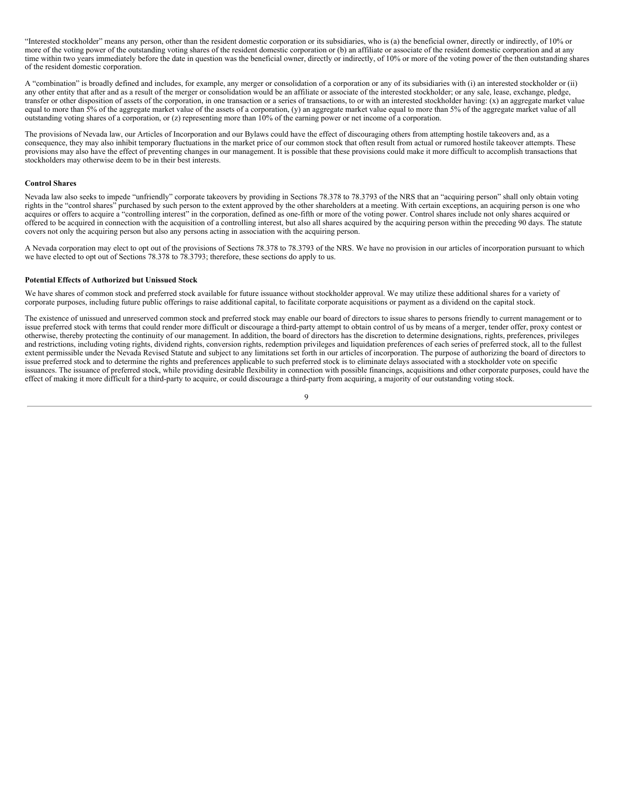"Interested stockholder" means any person, other than the resident domestic corporation or its subsidiaries, who is (a) the beneficial owner, directly or indirectly, of 10% or more of the voting power of the outstanding voting shares of the resident domestic corporation or (b) an affiliate or associate of the resident domestic corporation and at any time within two years immediately before the date in question was the beneficial owner, directly or indirectly, of 10% or more of the voting power of the then outstanding shares of the resident domestic corporation.

A "combination" is broadly defined and includes, for example, any merger or consolidation of a corporation or any of its subsidiaries with (i) an interested stockholder or (ii) any other entity that after and as a result of the merger or consolidation would be an affiliate or associate of the interested stockholder; or any sale, lease, exchange, pledge, transfer or other disposition of assets of the corporation, in one transaction or a series of transactions, to or with an interested stockholder having: (x) an aggregate market value equal to more than 5% of the aggregate market value of the assets of a corporation, (y) an aggregate market value equal to more than 5% of the aggregate market value of all outstanding voting shares of a corporation, or (z) representing more than 10% of the earning power or net income of a corporation.

The provisions of Nevada law, our Articles of Incorporation and our Bylaws could have the effect of discouraging others from attempting hostile takeovers and, as a consequence, they may also inhibit temporary fluctuations in the market price of our common stock that often result from actual or rumored hostile takeover attempts. These provisions may also have the effect of preventing changes in our management. It is possible that these provisions could make it more difficult to accomplish transactions that stockholders may otherwise deem to be in their best interests.

#### **Control Shares**

Nevada law also seeks to impede "unfriendly" corporate takeovers by providing in Sections 78.378 to 78.3793 of the NRS that an "acquiring person" shall only obtain voting rights in the "control shares" purchased by such person to the extent approved by the other shareholders at a meeting. With certain exceptions, an acquiring person is one who acquires or offers to acquire a "controlling interest" in the corporation, defined as one-fifth or more of the voting power. Control shares include not only shares acquired or offered to be acquired in connection with the acquisition of a controlling interest, but also all shares acquired by the acquiring person within the preceding 90 days. The statute covers not only the acquiring person but also any persons acting in association with the acquiring person.

A Nevada corporation may elect to opt out of the provisions of Sections 78.378 to 78.3793 of the NRS. We have no provision in our articles of incorporation pursuant to which we have elected to opt out of Sections 78.378 to 78.3793; therefore, these sections do apply to us.

#### **Potential Effects of Authorized but Unissued Stock**

We have shares of common stock and preferred stock available for future issuance without stockholder approval. We may utilize these additional shares for a variety of corporate purposes, including future public offerings to raise additional capital, to facilitate corporate acquisitions or payment as a dividend on the capital stock.

The existence of unissued and unreserved common stock and preferred stock may enable our board of directors to issue shares to persons friendly to current management or to issue preferred stock with terms that could render more difficult or discourage a third-party attempt to obtain control of us by means of a merger, tender offer, proxy contest or otherwise, thereby protecting the continuity of our management. In addition, the board of directors has the discretion to determine designations, rights, preferences, privileges and restrictions, including voting rights, dividend rights, conversion rights, redemption privileges and liquidation preferences of each series of preferred stock, all to the fullest extent permissible under the Nevada Revised Statute and subject to any limitations set forth in our articles of incorporation. The purpose of authorizing the board of directors to issue preferred stock and to determine the rights and preferences applicable to such preferred stock is to eliminate delays associated with a stockholder vote on specific issuances. The issuance of preferred stock, while providing desirable flexibility in connection with possible financings, acquisitions and other corporate purposes, could have the effect of making it more difficult for a third-party to acquire, or could discourage a third-party from acquiring, a majority of our outstanding voting stock.

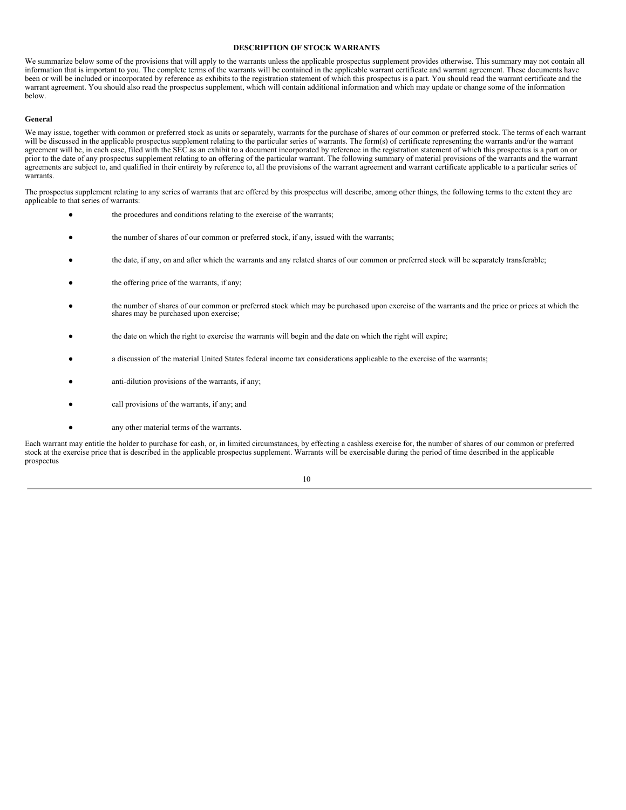#### **DESCRIPTION OF STOCK WARRANTS**

<span id="page-30-0"></span>We summarize below some of the provisions that will apply to the warrants unless the applicable prospectus supplement provides otherwise. This summary may not contain all information that is important to you. The complete terms of the warrants will be contained in the applicable warrant certificate and warrant agreement. These documents have been or will be included or incorporated by reference as exhibits to the registration statement of which this prospectus is a part. You should read the warrant certificate and the warrant agreement. You should also read the prospectus supplement, which will contain additional information and which may update or change some of the information below.

## **General**

We may issue, together with common or preferred stock as units or separately, warrants for the purchase of shares of our common or preferred stock. The terms of each warrant will be discussed in the applicable prospectus supplement relating to the particular series of warrants. The form(s) of certificate representing the warrants and/or the warrant agreement will be, in each case, filed with the SEC as an exhibit to a document incorporated by reference in the registration statement of which this prospectus is a part on or prior to the date of any prospectus supplement relating to an offering of the particular warrant. The following summary of material provisions of the warrants and the warrant agreements are subject to, and qualified in their entirety by reference to, all the provisions of the warrant agreement and warrant certificate applicable to a particular series of warrants.

The prospectus supplement relating to any series of warrants that are offered by this prospectus will describe, among other things, the following terms to the extent they are applicable to that series of warrants:

- the procedures and conditions relating to the exercise of the warrants;
- the number of shares of our common or preferred stock, if any, issued with the warrants;
- the date, if any, on and after which the warrants and any related shares of our common or preferred stock will be separately transferable;
- the offering price of the warrants, if any;
- the number of shares of our common or preferred stock which may be purchased upon exercise of the warrants and the price or prices at which the shares may be purchased upon exercise;
- the date on which the right to exercise the warrants will begin and the date on which the right will expire;
- a discussion of the material United States federal income tax considerations applicable to the exercise of the warrants;
- anti-dilution provisions of the warrants, if any;
- call provisions of the warrants, if any; and
- any other material terms of the warrants.

Each warrant may entitle the holder to purchase for cash, or, in limited circumstances, by effecting a cashless exercise for, the number of shares of our common or preferred stock at the exercise price that is described in the applicable prospectus supplement. Warrants will be exercisable during the period of time described in the applicable prospectus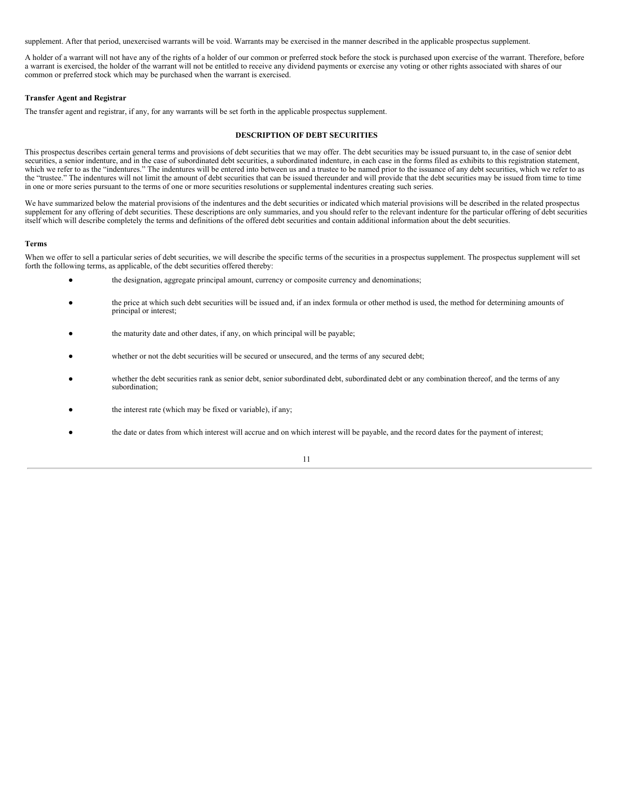supplement. After that period, unexercised warrants will be void. Warrants may be exercised in the manner described in the applicable prospectus supplement.

A holder of a warrant will not have any of the rights of a holder of our common or preferred stock before the stock is purchased upon exercise of the warrant. Therefore, before a warrant is exercised, the holder of the warrant will not be entitled to receive any dividend payments or exercise any voting or other rights associated with shares of our common or preferred stock which may be purchased when the warrant is exercised.

## **Transfer Agent and Registrar**

The transfer agent and registrar, if any, for any warrants will be set forth in the applicable prospectus supplement.

## **DESCRIPTION OF DEBT SECURITIES**

<span id="page-31-0"></span>This prospectus describes certain general terms and provisions of debt securities that we may offer. The debt securities may be issued pursuant to, in the case of senior debt securities, a senior indenture, and in the case of subordinated debt securities, a subordinated indenture, in each case in the forms filed as exhibits to this registration statement, which we refer to as the "indentures." The indentures will be entered into between us and a trustee to be named prior to the issuance of any debt securities, which we refer to as the "trustee." The indentures will not limit the amount of debt securities that can be issued thereunder and will provide that the debt securities may be issued from time to time in one or more series pursuant to the terms of one or more securities resolutions or supplemental indentures creating such series.

We have summarized below the material provisions of the indentures and the debt securities or indicated which material provisions will be described in the related prospectus supplement for any offering of debt securities. These descriptions are only summaries, and you should refer to the relevant indenture for the particular offering of debt securities itself which will describe completely the terms and definitions of the offered debt securities and contain additional information about the debt securities.

#### **Terms**

When we offer to sell a particular series of debt securities, we will describe the specific terms of the securities in a prospectus supplement. The prospectus supplement will set forth the following terms, as applicable, of the debt securities offered thereby:

- the designation, aggregate principal amount, currency or composite currency and denominations;
- the price at which such debt securities will be issued and, if an index formula or other method is used, the method for determining amounts of principal or interest;
- the maturity date and other dates, if any, on which principal will be payable;
- whether or not the debt securities will be secured or unsecured, and the terms of any secured debt;
- whether the debt securities rank as senior debt, senior subordinated debt, subordinated debt or any combination thereof, and the terms of any subordination;
- the interest rate (which may be fixed or variable), if any;
- the date or dates from which interest will accrue and on which interest will be payable, and the record dates for the payment of interest;

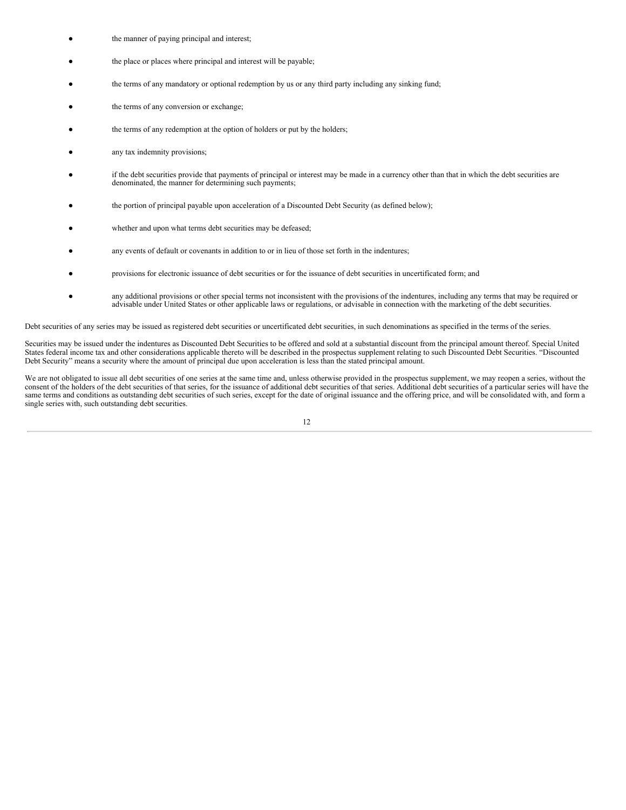- the manner of paying principal and interest;
- the place or places where principal and interest will be payable;
- the terms of any mandatory or optional redemption by us or any third party including any sinking fund;
- the terms of any conversion or exchange;
- the terms of any redemption at the option of holders or put by the holders;
- any tax indemnity provisions;
- if the debt securities provide that payments of principal or interest may be made in a currency other than that in which the debt securities are denominated, the manner for determining such payments;
- the portion of principal payable upon acceleration of a Discounted Debt Security (as defined below);
- whether and upon what terms debt securities may be defeased;
- any events of default or covenants in addition to or in lieu of those set forth in the indentures;
- provisions for electronic issuance of debt securities or for the issuance of debt securities in uncertificated form; and
- any additional provisions or other special terms not inconsistent with the provisions of the indentures, including any terms that may be required or advisable under United States or other applicable laws or regulations, or advisable in connection with the marketing of the debt securities.

Debt securities of any series may be issued as registered debt securities or uncertificated debt securities, in such denominations as specified in the terms of the series.

Securities may be issued under the indentures as Discounted Debt Securities to be offered and sold at a substantial discount from the principal amount thereof. Special United States federal income tax and other considerations applicable thereto will be described in the prospectus supplement relating to such Discounted Debt Securities. "Discounted Debt Security" means a security where the amount of principal due upon acceleration is less than the stated principal amount.

We are not obligated to issue all debt securities of one series at the same time and, unless otherwise provided in the prospectus supplement, we may reopen a series, without the consent of the holders of the debt securities of that series, for the issuance of additional debt securities of that series. Additional debt securities of a particular series will have the same terms and conditions as outstanding debt securities of such series, except for the date of original issuance and the offering price, and will be consolidated with, and form a single series with, such outstanding debt securities.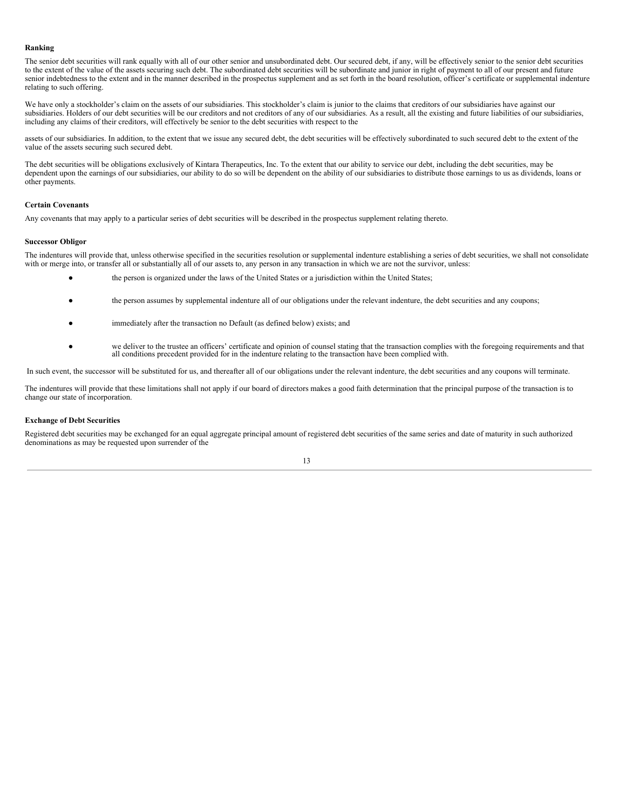### **Ranking**

The senior debt securities will rank equally with all of our other senior and unsubordinated debt. Our secured debt, if any, will be effectively senior to the senior debt securities to the extent of the value of the assets securing such debt. The subordinated debt securities will be subordinate and junior in right of payment to all of our present and future senior indebtedness to the extent and in the manner described in the prospectus supplement and as set forth in the board resolution, officer's certificate or supplemental indenture relating to such offering.

We have only a stockholder's claim on the assets of our subsidiaries. This stockholder's claim is junior to the claims that creditors of our subsidiaries have against our subsidiaries. Holders of our debt securities will be our creditors and not creditors of any of our subsidiaries. As a result, all the existing and future liabilities of our subsidiaries, including any claims of their creditors, will effectively be senior to the debt securities with respect to the

assets of our subsidiaries. In addition, to the extent that we issue any secured debt, the debt securities will be effectively subordinated to such secured debt to the extent of the value of the assets securing such secured debt.

The debt securities will be obligations exclusively of Kintara Therapeutics, Inc. To the extent that our ability to service our debt, including the debt securities, may be dependent upon the earnings of our subsidiaries, our ability to do so will be dependent on the ability of our subsidiaries to distribute those earnings to us as dividends, loans or other payments.

## **Certain Covenants**

Any covenants that may apply to a particular series of debt securities will be described in the prospectus supplement relating thereto.

#### **Successor Obligor**

The indentures will provide that, unless otherwise specified in the securities resolution or supplemental indenture establishing a series of debt securities, we shall not consolidate with or merge into, or transfer all or substantially all of our assets to, any person in any transaction in which we are not the survivor, unless:

- the person is organized under the laws of the United States or a jurisdiction within the United States;
- the person assumes by supplemental indenture all of our obligations under the relevant indenture, the debt securities and any coupons;
- immediately after the transaction no Default (as defined below) exists; and
- we deliver to the trustee an officers' certificate and opinion of counsel stating that the transaction complies with the foregoing requirements and that all conditions precedent provided for in the indenture relating to the transaction have been complied with.

In such event, the successor will be substituted for us, and thereafter all of our obligations under the relevant indenture, the debt securities and any coupons will terminate.

The indentures will provide that these limitations shall not apply if our board of directors makes a good faith determination that the principal purpose of the transaction is to change our state of incorporation.

## **Exchange of Debt Securities**

Registered debt securities may be exchanged for an equal aggregate principal amount of registered debt securities of the same series and date of maturity in such authorized denominations as may be requested upon surrender of the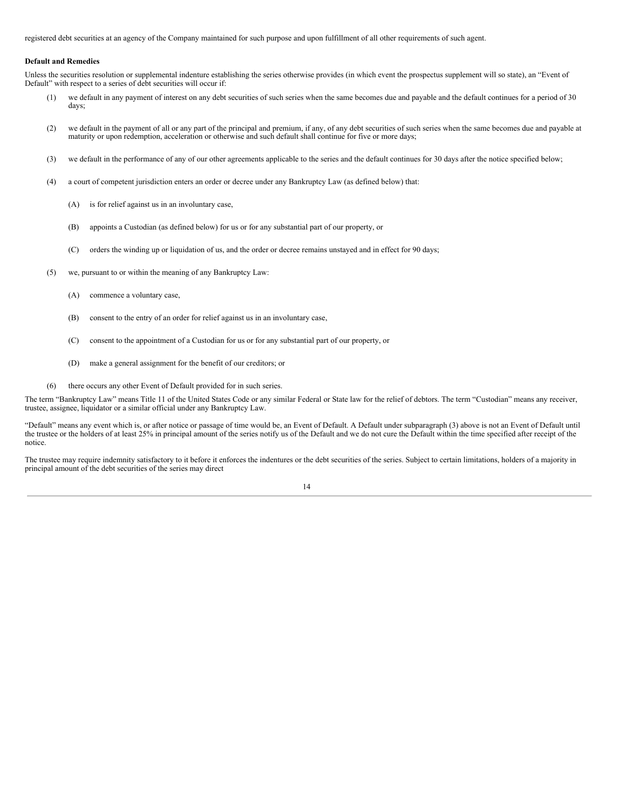registered debt securities at an agency of the Company maintained for such purpose and upon fulfillment of all other requirements of such agent.

#### **Default and Remedies**

Unless the securities resolution or supplemental indenture establishing the series otherwise provides (in which event the prospectus supplement will so state), an "Event of Default" with respect to a series of debt securities will occur if:

- (1) we default in any payment of interest on any debt securities of such series when the same becomes due and payable and the default continues for a period of 30 days;
- (2) we default in the payment of all or any part of the principal and premium, if any, of any debt securities of such series when the same becomes due and payable at maturity or upon redemption, acceleration or otherwise and such default shall continue for five or more days;
- (3) we default in the performance of any of our other agreements applicable to the series and the default continues for 30 days after the notice specified below;
- (4) a court of competent jurisdiction enters an order or decree under any Bankruptcy Law (as defined below) that:
	- (A) is for relief against us in an involuntary case,
	- (B) appoints a Custodian (as defined below) for us or for any substantial part of our property, or
	- (C) orders the winding up or liquidation of us, and the order or decree remains unstayed and in effect for 90 days;
- (5) we, pursuant to or within the meaning of any Bankruptcy Law:
	- (A) commence a voluntary case,
	- (B) consent to the entry of an order for relief against us in an involuntary case,
	- (C) consent to the appointment of a Custodian for us or for any substantial part of our property, or
	- (D) make a general assignment for the benefit of our creditors; or
- (6) there occurs any other Event of Default provided for in such series.

The term "Bankruptcy Law" means Title 11 of the United States Code or any similar Federal or State law for the relief of debtors. The term "Custodian" means any receiver, trustee, assignee, liquidator or a similar official under any Bankruptcy Law.

"Default" means any event which is, or after notice or passage of time would be, an Event of Default. A Default under subparagraph (3) above is not an Event of Default until the trustee or the holders of at least 25% in principal amount of the series notify us of the Default and we do not cure the Default within the time specified after receipt of the notice.

The trustee may require indemnity satisfactory to it before it enforces the indentures or the debt securities of the series. Subject to certain limitations, holders of a majority in principal amount of the debt securities of the series may direct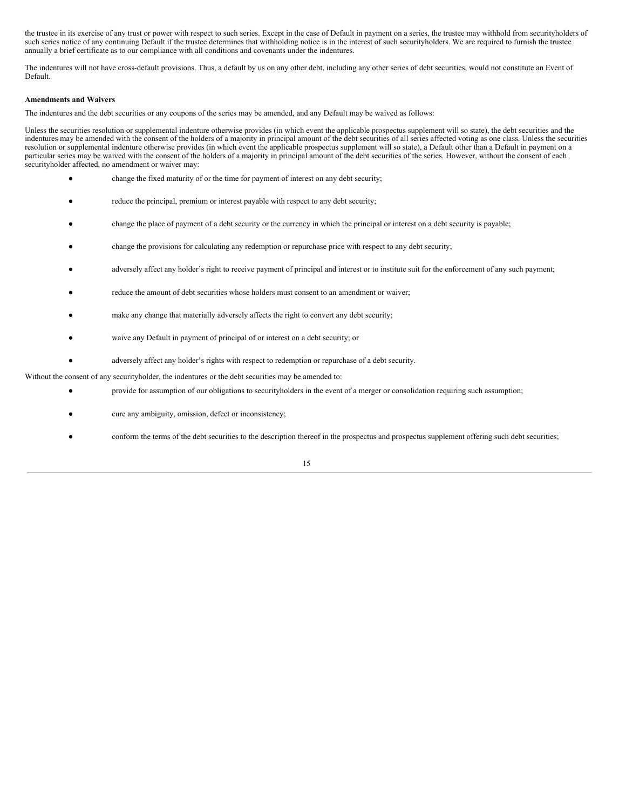the trustee in its exercise of any trust or power with respect to such series. Except in the case of Default in payment on a series, the trustee may withhold from securityholders of such series notice of any continuing Default if the trustee determines that withholding notice is in the interest of such securityholders. We are required to furnish the trustee annually a brief certificate as to our compliance with all conditions and covenants under the indentures.

The indentures will not have cross-default provisions. Thus, a default by us on any other debt, including any other series of debt securities, would not constitute an Event of Default.

## **Amendments and Waivers**

The indentures and the debt securities or any coupons of the series may be amended, and any Default may be waived as follows:

Unless the securities resolution or supplemental indenture otherwise provides (in which event the applicable prospectus supplement will so state), the debt securities and the indentures may be amended with the consent of the holders of a majority in principal amount of the debt securities of all series affected voting as one class. Unless the securities resolution or supplemental indenture otherwise provides (in which event the applicable prospectus supplement will so state), a Default other than a Default in payment on a particular series may be waived with the consent of the holders of a majority in principal amount of the debt securities of the series. However, without the consent of each securityholder affected, no amendment or waiver may:

- change the fixed maturity of or the time for payment of interest on any debt security;
- reduce the principal, premium or interest payable with respect to any debt security;
- change the place of payment of a debt security or the currency in which the principal or interest on a debt security is payable;
- change the provisions for calculating any redemption or repurchase price with respect to any debt security;
- adversely affect any holder's right to receive payment of principal and interest or to institute suit for the enforcement of any such payment;
- reduce the amount of debt securities whose holders must consent to an amendment or waiver;
- make any change that materially adversely affects the right to convert any debt security;
- waive any Default in payment of principal of or interest on a debt security; or
- adversely affect any holder's rights with respect to redemption or repurchase of a debt security.

Without the consent of any securityholder, the indentures or the debt securities may be amended to:

- provide for assumption of our obligations to securityholders in the event of a merger or consolidation requiring such assumption;
- cure any ambiguity, omission, defect or inconsistency;
- conform the terms of the debt securities to the description thereof in the prospectus and prospectus supplement offering such debt securities;

15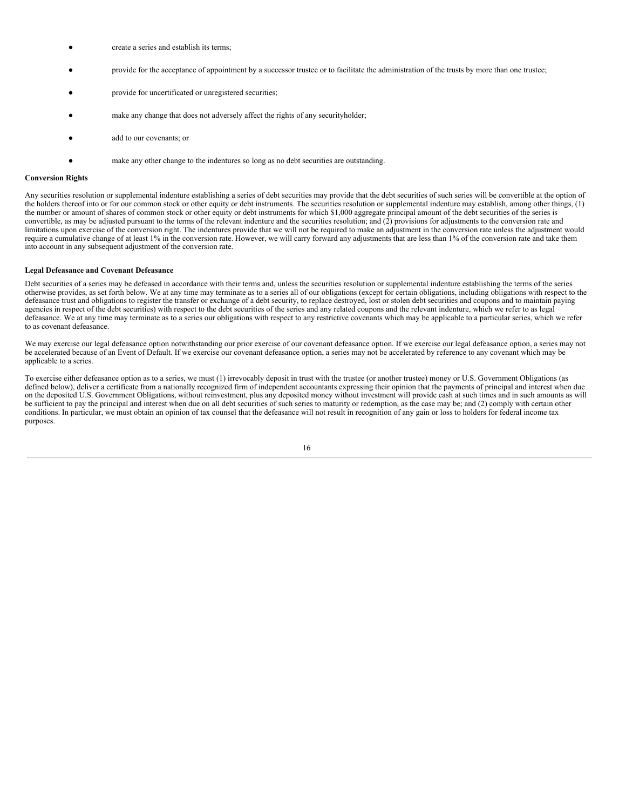- create a series and establish its terms;
- provide for the acceptance of appointment by a successor trustee or to facilitate the administration of the trusts by more than one trustee;
- provide for uncertificated or unregistered securities:
- make any change that does not adversely affect the rights of any securityholder;
- add to our covenants; or
- make any other change to the indentures so long as no debt securities are outstanding.

#### **Conversion Rights**

Any securities resolution or supplemental indenture establishing a series of debt securities may provide that the debt securities of such series will be convertible at the option of the holders thereof into or for our common stock or other equity or debt instruments. The securities resolution or supplemental indenture may establish, among other things, (1) the number or amount of shares of common stock or other equity or debt instruments for which \$1,000 aggregate principal amount of the debt securities of the series is convertible, as may be adjusted pursuant to the terms of the relevant indenture and the securities resolution; and (2) provisions for adjustments to the conversion rate and limitations upon exercise of the conversion right. The indentures provide that we will not be required to make an adjustment in the conversion rate unless the adjustment would require a cumulative change of at least 1% in the conversion rate. However, we will carry forward any adjustments that are less than 1% of the conversion rate and take them into account in any subsequent adjustment of the conversion rate.

#### **Legal Defeasance and Covenant Defeasance**

Debt securities of a series may be defeased in accordance with their terms and, unless the securities resolution or supplemental indenture establishing the terms of the series otherwise provides, as set forth below. We at any time may terminate as to a series all of our obligations (except for certain obligations, including obligations with respect to the defeasance trust and obligations to register the transfer or exchange of a debt security, to replace destroyed, lost or stolen debt securities and coupons and to maintain paying agencies in respect of the debt securities) with respect to the debt securities of the series and any related coupons and the relevant indenture, which we refer to as legal defeasance. We at any time may terminate as to a series our obligations with respect to any restrictive covenants which may be applicable to a particular series, which we refer to as covenant defeasance.

We may exercise our legal defeasance option notwithstanding our prior exercise of our covenant defeasance option. If we exercise our legal defeasance option, a series may not be accelerated because of an Event of Default. If we exercise our covenant defeasance option, a series may not be accelerated by reference to any covenant which may be applicable to a series.

To exercise either defeasance option as to a series, we must (1) irrevocably deposit in trust with the trustee (or another trustee) money or U.S. Government Obligations (as defined below), deliver a certificate from a nationally recognized firm of independent accountants expressing their opinion that the payments of principal and interest when due on the deposited U.S. Government Obligations, without reinvestment, plus any deposited money without investment will provide cash at such times and in such amounts as will be sufficient to pay the principal and interest when due on all debt securities of such series to maturity or redemption, as the case may be; and (2) comply with certain other conditions. In particular, we must obtain an opinion of tax counsel that the defeasance will not result in recognition of any gain or loss to holders for federal income tax purposes.

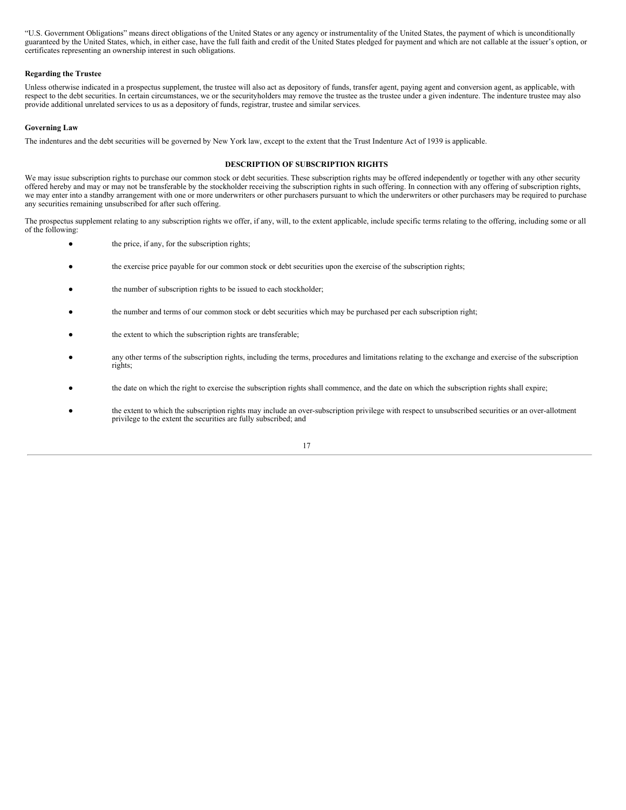"U.S. Government Obligations" means direct obligations of the United States or any agency or instrumentality of the United States, the payment of which is unconditionally guaranteed by the United States, which, in either case, have the full faith and credit of the United States pledged for payment and which are not callable at the issuer's option, or certificates representing an ownership interest in such obligations.

## **Regarding the Trustee**

Unless otherwise indicated in a prospectus supplement, the trustee will also act as depository of funds, transfer agent, paying agent and conversion agent, as applicable, with respect to the debt securities. In certain circumstances, we or the securityholders may remove the trustee as the trustee under a given indenture. The indenture trustee may also provide additional unrelated services to us as a depository of funds, registrar, trustee and similar services.

## **Governing Law**

The indentures and the debt securities will be governed by New York law, except to the extent that the Trust Indenture Act of 1939 is applicable.

## **DESCRIPTION OF SUBSCRIPTION RIGHTS**

<span id="page-37-0"></span>We may issue subscription rights to purchase our common stock or debt securities. These subscription rights may be offered independently or together with any other security offered hereby and may or may not be transferable by the stockholder receiving the subscription rights in such offering. In connection with any offering of subscription rights, we may enter into a standby arrangement with one or more underwriters or other purchasers pursuant to which the underwriters or other purchasers may be required to purchase any securities remaining unsubscribed for after such offering.

The prospectus supplement relating to any subscription rights we offer, if any, will, to the extent applicable, include specific terms relating to the offering, including some or all of the following:

- the price, if any, for the subscription rights;
- the exercise price payable for our common stock or debt securities upon the exercise of the subscription rights;
- the number of subscription rights to be issued to each stockholder;
- the number and terms of our common stock or debt securities which may be purchased per each subscription right;
- the extent to which the subscription rights are transferable;
- any other terms of the subscription rights, including the terms, procedures and limitations relating to the exchange and exercise of the subscription rights;
- the date on which the right to exercise the subscription rights shall commence, and the date on which the subscription rights shall expire;
- the extent to which the subscription rights may include an over-subscription privilege with respect to unsubscribed securities or an over-allotment privilege to the extent the securities are fully subscribed; and

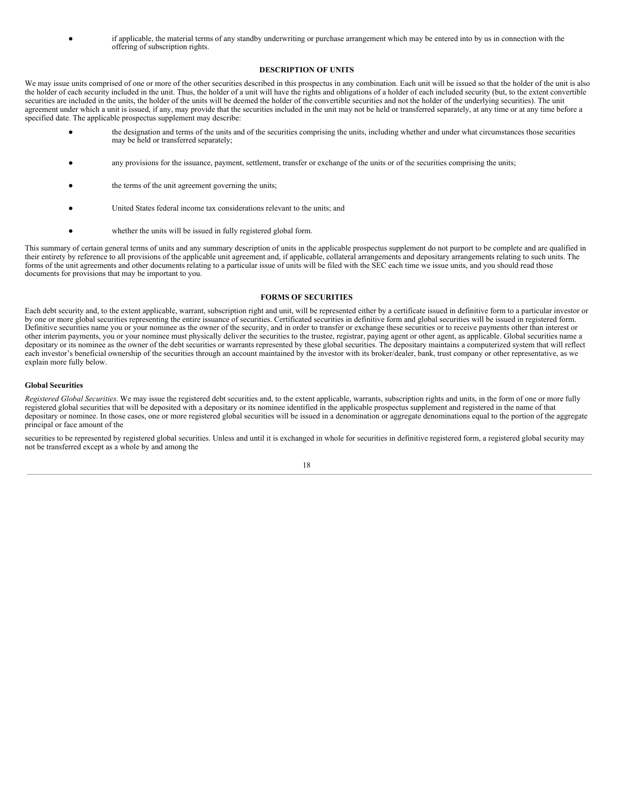if applicable, the material terms of any standby underwriting or purchase arrangement which may be entered into by us in connection with the offering of subscription rights.

### **DESCRIPTION OF UNITS**

<span id="page-38-1"></span>We may issue units comprised of one or more of the other securities described in this prospectus in any combination. Each unit will be issued so that the holder of the unit is also the holder of each security included in the unit. Thus, the holder of a unit will have the rights and obligations of a holder of each included security (but, to the extent convertible securities are included in the units, the holder of the units will be deemed the holder of the convertible securities and not the holder of the underlying securities). The unit agreement under which a unit is issued, if any, may provide that the securities included in the unit may not be held or transferred separately, at any time or at any time before a specified date. The applicable prospectus supplement may describe:

- the designation and terms of the units and of the securities comprising the units, including whether and under what circumstances those securities may be held or transferred separately;
- any provisions for the issuance, payment, settlement, transfer or exchange of the units or of the securities comprising the units;
- the terms of the unit agreement governing the units;
- United States federal income tax considerations relevant to the units; and
- whether the units will be issued in fully registered global form.

This summary of certain general terms of units and any summary description of units in the applicable prospectus supplement do not purport to be complete and are qualified in their entirety by reference to all provisions of the applicable unit agreement and, if applicable, collateral arrangements and depositary arrangements relating to such units. The forms of the unit agreements and other documents relating to a particular issue of units will be filed with the SEC each time we issue units, and you should read those documents for provisions that may be important to you.

## **FORMS OF SECURITIES**

<span id="page-38-0"></span>Each debt security and, to the extent applicable, warrant, subscription right and unit, will be represented either by a certificate issued in definitive form to a particular investor or by one or more global securities representing the entire issuance of securities. Certificated securities in definitive form and global securities will be issued in registered form. Definitive securities name you or your nominee as the owner of the security, and in order to transfer or exchange these securities or to receive payments other than interest or other interim payments, you or your nominee must physically deliver the securities to the trustee, registrar, paying agent or other agent, as applicable. Global securities name a depositary or its nominee as the owner of the debt securities or warrants represented by these global securities. The depositary maintains a computerized system that will reflect each investor's beneficial ownership of the securities through an account maintained by the investor with its broker/dealer, bank, trust company or other representative, as we explain more fully below.

#### **Global Securities**

*Registered Global Securities*. We may issue the registered debt securities and, to the extent applicable, warrants, subscription rights and units, in the form of one or more fully registered global securities that will be deposited with a depositary or its nominee identified in the applicable prospectus supplement and registered in the name of that depositary or nominee. In those cases, one or more registered global securities will be issued in a denomination or aggregate denominations equal to the portion of the aggregate principal or face amount of the

securities to be represented by registered global securities. Unless and until it is exchanged in whole for securities in definitive registered form, a registered global security may not be transferred except as a whole by and among the

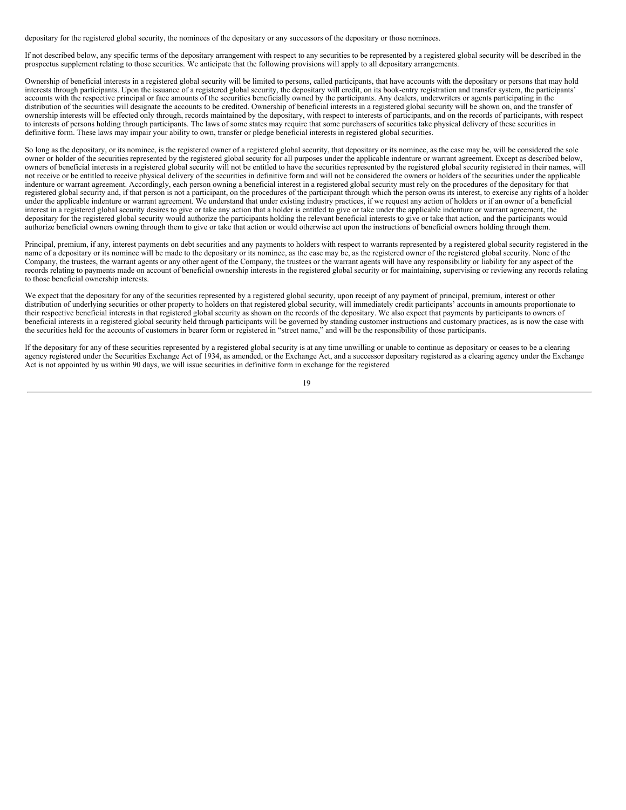depositary for the registered global security, the nominees of the depositary or any successors of the depositary or those nominees.

If not described below, any specific terms of the depositary arrangement with respect to any securities to be represented by a registered global security will be described in the prospectus supplement relating to those securities. We anticipate that the following provisions will apply to all depositary arrangements.

Ownership of beneficial interests in a registered global security will be limited to persons, called participants, that have accounts with the depositary or persons that may hold interests through participants. Upon the issuance of a registered global security, the depositary will credit, on its book-entry registration and transfer system, the participants' accounts with the respective principal or face amounts of the securities beneficially owned by the participants. Any dealers, underwriters or agents participating in the distribution of the securities will designate the accounts to be credited. Ownership of beneficial interests in a registered global security will be shown on, and the transfer of ownership interests will be effected only through, records maintained by the depositary, with respect to interests of participants, and on the records of participants, with respect to interests of persons holding through participants. The laws of some states may require that some purchasers of securities take physical delivery of these securities in definitive form. These laws may impair your ability to own, transfer or pledge beneficial interests in registered global securities.

So long as the depositary, or its nominee, is the registered owner of a registered global security, that depositary or its nominee, as the case may be, will be considered the sole owner or holder of the securities represented by the registered global security for all purposes under the applicable indenture or warrant agreement. Except as described below, owners of beneficial interests in a registered global security will not be entitled to have the securities represented by the registered global security registered in their names, will not receive or be entitled to receive physical delivery of the securities in definitive form and will not be considered the owners or holders of the securities under the applicable indenture or warrant agreement. Accordingly, each person owning a beneficial interest in a registered global security must rely on the procedures of the depositary for that registered global security and, if that person is not a participant, on the procedures of the participant through which the person owns its interest, to exercise any rights of a holder under the applicable indenture or warrant agreement. We understand that under existing industry practices, if we request any action of holders or if an owner of a beneficial interest in a registered global security desires to give or take any action that a holder is entitled to give or take under the applicable indenture or warrant agreement, the depositary for the registered global security would authorize the participants holding the relevant beneficial interests to give or take that action, and the participants would authorize beneficial owners owning through them to give or take that action or would otherwise act upon the instructions of beneficial owners holding through them.

Principal, premium, if any, interest payments on debt securities and any payments to holders with respect to warrants represented by a registered global security registered in the name of a depositary or its nominee will be made to the depositary or its nominee, as the case may be, as the registered owner of the registered global security. None of the Company, the trustees, the warrant agents or any other agent of the Company, the trustees or the warrant agents will have any responsibility or liability for any aspect of the records relating to payments made on account of beneficial ownership interests in the registered global security or for maintaining, supervising or reviewing any records relating to those beneficial ownership interests.

We expect that the depositary for any of the securities represented by a registered global security, upon receipt of any payment of principal, premium, interest or other distribution of underlying securities or other property to holders on that registered global security, will immediately credit participants' accounts in amounts proportionate to their respective beneficial interests in that registered global security as shown on the records of the depositary. We also expect that payments by participants to owners of beneficial interests in a registered global security held through participants will be governed by standing customer instructions and customary practices, as is now the case with the securities held for the accounts of customers in bearer form or registered in "street name," and will be the responsibility of those participants.

If the depositary for any of these securities represented by a registered global security is at any time unwilling or unable to continue as depositary or ceases to be a clearing agency registered under the Securities Exchange Act of 1934, as amended, or the Exchange Act, and a successor depositary registered as a clearing agency under the Exchange Act is not appointed by us within 90 days, we will issue securities in definitive form in exchange for the registered

19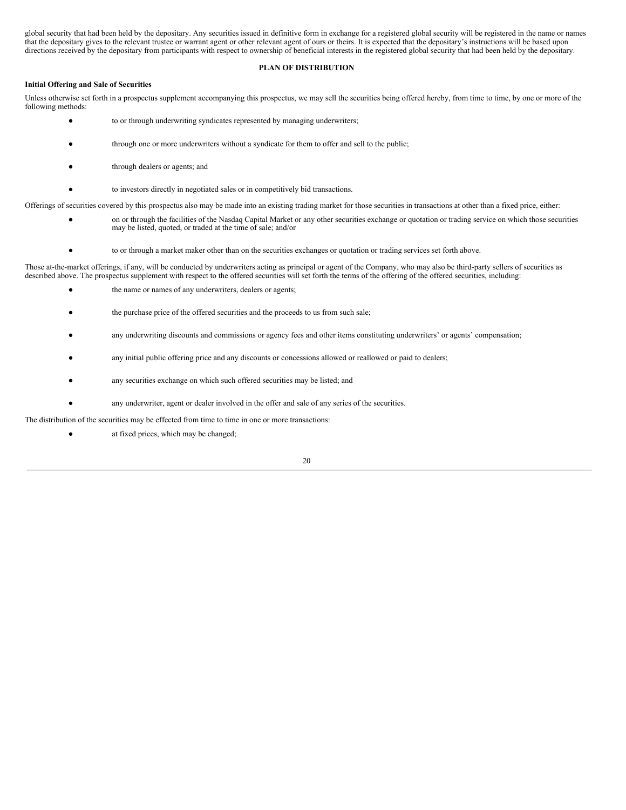global security that had been held by the depositary. Any securities issued in definitive form in exchange for a registered global security will be registered in the name or names that the depositary gives to the relevant trustee or warrant agent or other relevant agent of ours or theirs. It is expected that the depositary's instructions will be based upon directions received by the depositary from participants with respect to ownership of beneficial interests in the registered global security that had been held by the depositary.

## **PLAN OF DISTRIBUTION**

## <span id="page-40-0"></span>**Initial Offering and Sale of Securities**

Unless otherwise set forth in a prospectus supplement accompanying this prospectus, we may sell the securities being offered hereby, from time to time, by one or more of the following methods:

- to or through underwriting syndicates represented by managing underwriters;
- through one or more underwriters without a syndicate for them to offer and sell to the public;
- through dealers or agents; and
- to investors directly in negotiated sales or in competitively bid transactions.

Offerings of securities covered by this prospectus also may be made into an existing trading market for those securities in transactions at other than a fixed price, either:

- on or through the facilities of the Nasdaq Capital Market or any other securities exchange or quotation or trading service on which those securities may be listed, quoted, or traded at the time of sale; and/or
- to or through a market maker other than on the securities exchanges or quotation or trading services set forth above.

Those at-the-market offerings, if any, will be conducted by underwriters acting as principal or agent of the Company, who may also be third-party sellers of securities as described above. The prospectus supplement with respect to the offered securities will set forth the terms of the offering of the offered securities, including:

- the name or names of any underwriters, dealers or agents;
- the purchase price of the offered securities and the proceeds to us from such sale;
- any underwriting discounts and commissions or agency fees and other items constituting underwriters' or agents' compensation;
- any initial public offering price and any discounts or concessions allowed or reallowed or paid to dealers;
- any securities exchange on which such offered securities may be listed; and
- any underwriter, agent or dealer involved in the offer and sale of any series of the securities.

The distribution of the securities may be effected from time to time in one or more transactions:

● at fixed prices, which may be changed;

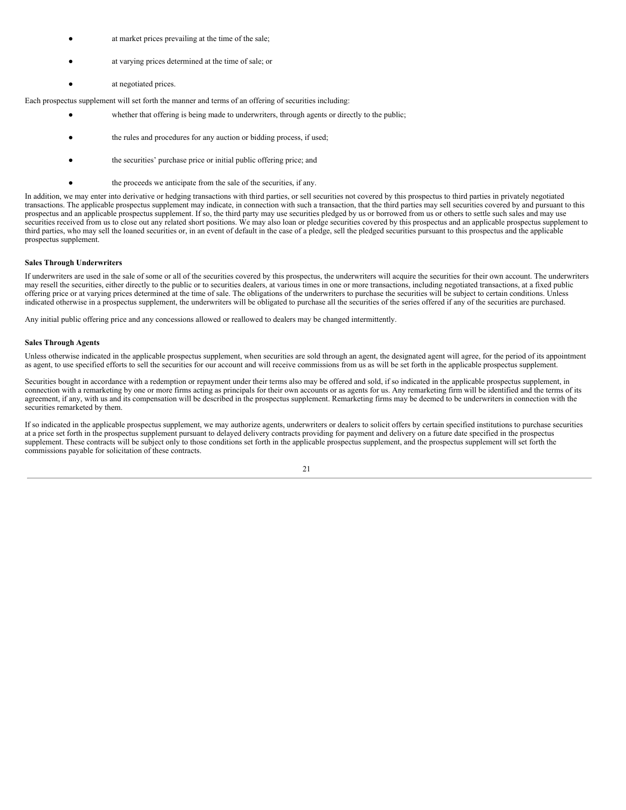- at market prices prevailing at the time of the sale;
- at varying prices determined at the time of sale; or
- at negotiated prices.

Each prospectus supplement will set forth the manner and terms of an offering of securities including:

- whether that offering is being made to underwriters, through agents or directly to the public;
- the rules and procedures for any auction or bidding process, if used;
- the securities' purchase price or initial public offering price; and
- the proceeds we anticipate from the sale of the securities, if any.

In addition, we may enter into derivative or hedging transactions with third parties, or sell securities not covered by this prospectus to third parties in privately negotiated transactions. The applicable prospectus supplement may indicate, in connection with such a transaction, that the third parties may sell securities covered by and pursuant to this prospectus and an applicable prospectus supplement. If so, the third party may use securities pledged by us or borrowed from us or others to settle such sales and may use securities received from us to close out any related short positions. We may also loan or pledge securities covered by this prospectus and an applicable prospectus supplement to third parties, who may sell the loaned securities or, in an event of default in the case of a pledge, sell the pledged securities pursuant to this prospectus and the applicable prospectus supplement.

## **Sales Through Underwriters**

If underwriters are used in the sale of some or all of the securities covered by this prospectus, the underwriters will acquire the securities for their own account. The underwriters may resell the securities, either directly to the public or to securities dealers, at various times in one or more transactions, including negotiated transactions, at a fixed public offering price or at varying prices determined at the time of sale. The obligations of the underwriters to purchase the securities will be subject to certain conditions. Unless indicated otherwise in a prospectus supplement, the underwriters will be obligated to purchase all the securities of the series offered if any of the securities are purchased.

Any initial public offering price and any concessions allowed or reallowed to dealers may be changed intermittently.

## **Sales Through Agents**

Unless otherwise indicated in the applicable prospectus supplement, when securities are sold through an agent, the designated agent will agree, for the period of its appointment as agent, to use specified efforts to sell the securities for our account and will receive commissions from us as will be set forth in the applicable prospectus supplement.

Securities bought in accordance with a redemption or repayment under their terms also may be offered and sold, if so indicated in the applicable prospectus supplement, in connection with a remarketing by one or more firms acting as principals for their own accounts or as agents for us. Any remarketing firm will be identified and the terms of its agreement, if any, with us and its compensation will be described in the prospectus supplement. Remarketing firms may be deemed to be underwriters in connection with the securities remarketed by them.

If so indicated in the applicable prospectus supplement, we may authorize agents, underwriters or dealers to solicit offers by certain specified institutions to purchase securities at a price set forth in the prospectus supplement pursuant to delayed delivery contracts providing for payment and delivery on a future date specified in the prospectus supplement. These contracts will be subject only to those conditions set forth in the applicable prospectus supplement, and the prospectus supplement will set forth the commissions payable for solicitation of these contracts.

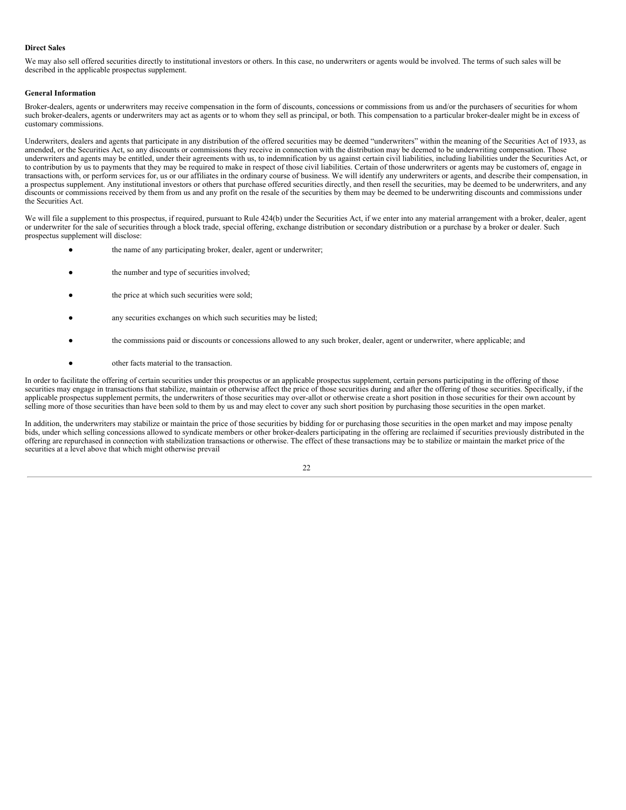#### **Direct Sales**

We may also sell offered securities directly to institutional investors or others. In this case, no underwriters or agents would be involved. The terms of such sales will be described in the applicable prospectus supplement.

#### **General Information**

Broker-dealers, agents or underwriters may receive compensation in the form of discounts, concessions or commissions from us and/or the purchasers of securities for whom such broker-dealers, agents or underwriters may act as agents or to whom they sell as principal, or both. This compensation to a particular broker-dealer might be in excess of customary commissions.

Underwriters, dealers and agents that participate in any distribution of the offered securities may be deemed "underwriters" within the meaning of the Securities Act of 1933, as amended, or the Securities Act, so any discounts or commissions they receive in connection with the distribution may be deemed to be underwriting compensation. Those underwriters and agents may be entitled, under their agreements with us, to indemnification by us against certain civil liabilities, including liabilities under the Securities Act, or to contribution by us to payments that they may be required to make in respect of those civil liabilities. Certain of those underwriters or agents may be customers of, engage in transactions with, or perform services for, us or our affiliates in the ordinary course of business. We will identify any underwriters or agents, and describe their compensation, in a prospectus supplement. Any institutional investors or others that purchase offered securities directly, and then resell the securities, may be deemed to be underwriters, and any discounts or commissions received by them from us and any profit on the resale of the securities by them may be deemed to be underwriting discounts and commissions under the Securities Act.

We will file a supplement to this prospectus, if required, pursuant to Rule 424(b) under the Securities Act, if we enter into any material arrangement with a broker, dealer, agent or underwriter for the sale of securities through a block trade, special offering, exchange distribution or secondary distribution or a purchase by a broker or dealer. Such prospectus supplement will disclose:

- the name of any participating broker, dealer, agent or underwriter;
- the number and type of securities involved;
- the price at which such securities were sold;
- any securities exchanges on which such securities may be listed;
- the commissions paid or discounts or concessions allowed to any such broker, dealer, agent or underwriter, where applicable; and
- other facts material to the transaction.

In order to facilitate the offering of certain securities under this prospectus or an applicable prospectus supplement, certain persons participating in the offering of those securities may engage in transactions that stabilize, maintain or otherwise affect the price of those securities during and after the offering of those securities. Specifically, if the applicable prospectus supplement permits, the underwriters of those securities may over-allot or otherwise create a short position in those securities for their own account by selling more of those securities than have been sold to them by us and may elect to cover any such short position by purchasing those securities in the open market.

In addition, the underwriters may stabilize or maintain the price of those securities by bidding for or purchasing those securities in the open market and may impose penalty bids, under which selling concessions allowed to syndicate members or other broker-dealers participating in the offering are reclaimed if securities previously distributed in the offering are repurchased in connection with stabilization transactions or otherwise. The effect of these transactions may be to stabilize or maintain the market price of the securities at a level above that which might otherwise prevail

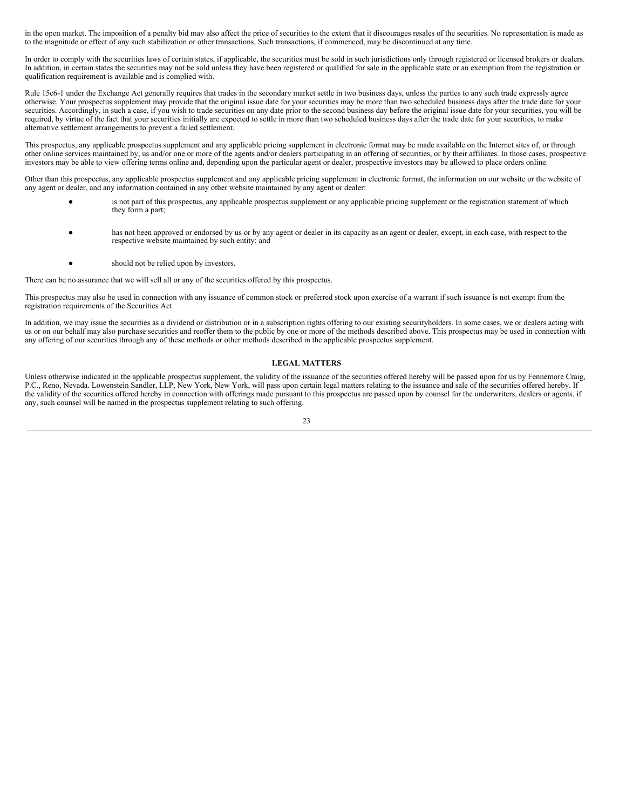in the open market. The imposition of a penalty bid may also affect the price of securities to the extent that it discourages resales of the securities. No representation is made as to the magnitude or effect of any such stabilization or other transactions. Such transactions, if commenced, may be discontinued at any time.

In order to comply with the securities laws of certain states, if applicable, the securities must be sold in such jurisdictions only through registered or licensed brokers or dealers. In addition, in certain states the securities may not be sold unless they have been registered or qualified for sale in the applicable state or an exemption from the registration or qualification requirement is available and is complied with.

Rule 15c6-1 under the Exchange Act generally requires that trades in the secondary market settle in two business days, unless the parties to any such trade expressly agree otherwise. Your prospectus supplement may provide that the original issue date for your securities may be more than two scheduled business days after the trade date for your securities. Accordingly, in such a case, if you wish to trade securities on any date prior to the second business day before the original issue date for your securities, you will be required, by virtue of the fact that your securities initially are expected to settle in more than two scheduled business days after the trade date for your securities, to make alternative settlement arrangements to prevent a failed settlement.

This prospectus, any applicable prospectus supplement and any applicable pricing supplement in electronic format may be made available on the Internet sites of, or through other online services maintained by, us and/or one or more of the agents and/or dealers participating in an offering of securities, or by their affiliates. In those cases, prospective investors may be able to view offering terms online and, depending upon the particular agent or dealer, prospective investors may be allowed to place orders online.

Other than this prospectus, any applicable prospectus supplement and any applicable pricing supplement in electronic format, the information on our website or the website of any agent or dealer, and any information contained in any other website maintained by any agent or dealer:

- is not part of this prospectus, any applicable prospectus supplement or any applicable pricing supplement or the registration statement of which they form a part;
- has not been approved or endorsed by us or by any agent or dealer in its capacity as an agent or dealer, except, in each case, with respect to the respective website maintained by such entity; and
- should not be relied upon by investors.

There can be no assurance that we will sell all or any of the securities offered by this prospectus.

This prospectus may also be used in connection with any issuance of common stock or preferred stock upon exercise of a warrant if such issuance is not exempt from the registration requirements of the Securities Act.

In addition, we may issue the securities as a dividend or distribution or in a subscription rights offering to our existing securityholders. In some cases, we or dealers acting with us or on our behalf may also purchase securities and reoffer them to the public by one or more of the methods described above. This prospectus may be used in connection with any offering of our securities through any of these methods or other methods described in the applicable prospectus supplement.

## **LEGAL MATTERS**

<span id="page-43-0"></span>Unless otherwise indicated in the applicable prospectus supplement, the validity of the issuance of the securities offered hereby will be passed upon for us by Fennemore Craig, P.C., Reno, Nevada. Lowenstein Sandler, LLP, New York, New York, will pass upon certain legal matters relating to the issuance and sale of the securities offered hereby. If the validity of the securities offered hereby in connection with offerings made pursuant to this prospectus are passed upon by counsel for the underwriters, dealers or agents, if any, such counsel will be named in the prospectus supplement relating to such offering.

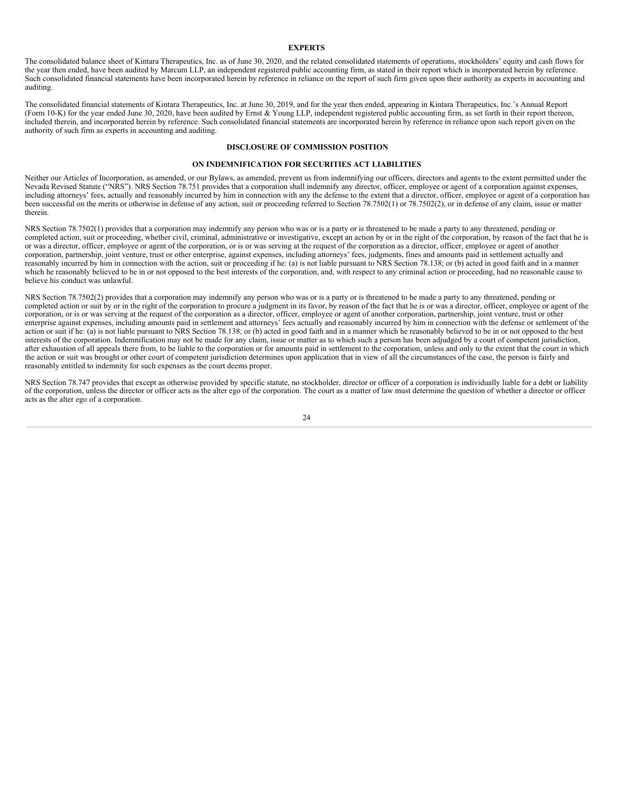#### **EXPERTS**

<span id="page-44-0"></span>The consolidated balance sheet of Kintara Therapeutics, Inc. as of June 30, 2020, and the related consolidated statements of operations, stockholders' equity and cash flows for the year then ended, have been audited by Marcum LLP, an independent registered public accounting firm, as stated in their report which is incorporated herein by reference. Such consolidated financial statements have been incorporated herein by reference in reliance on the report of such firm given upon their authority as experts in accounting and auditing.

The consolidated financial statements of Kintara Therapeutics, Inc. at June 30, 2019, and for the year then ended, appearing in Kintara Therapeutics, Inc.'s Annual Report (Form 10-K) for the year ended June 30, 2020, have been audited by Ernst & Young LLP, independent registered public accounting firm, as set forth in their report thereon, included therein, and incorporated herein by reference. Such consolidated financial statements are incorporated herein by reference in reliance upon such report given on the authority of such firm as experts in accounting and auditing.

#### **DISCLOSURE OF COMMISSION POSITION**

### **ON INDEMNIFICATION FOR SECURITIES ACT LIABILITIES**

<span id="page-44-1"></span>Neither our Articles of Incorporation, as amended, or our Bylaws, as amended, prevent us from indemnifying our officers, directors and agents to the extent permitted under the Nevada Revised Statute ("NRS"). NRS Section 78.751 provides that a corporation shall indemnify any director, officer, employee or agent of a corporation against expenses, including attorneys' fees, actually and reasonably incurred by him in connection with any the defense to the extent that a director, officer, employee or agent of a corporation has been successful on the merits or otherwise in defense of any action, suit or proceeding referred to Section 78.7502(1) or 78.7502(2), or in defense of any claim, issue or matter therein.

NRS Section 78.7502(1) provides that a corporation may indemnify any person who was or is a party or is threatened to be made a party to any threatened, pending or completed action, suit or proceeding, whether civil, criminal, administrative or investigative, except an action by or in the right of the corporation, by reason of the fact that he is or was a director, officer, employee or agent of the corporation, or is or was serving at the request of the corporation as a director, officer, employee or agent of another corporation, partnership, joint venture, trust or other enterprise, against expenses, including attorneys' fees, judgments, fines and amounts paid in settlement actually and reasonably incurred by him in connection with the action, suit or proceeding if he: (a) is not liable pursuant to NRS Section 78.138; or (b) acted in good faith and in a manner which he reasonably believed to be in or not opposed to the best interests of the corporation, and, with respect to any criminal action or proceeding, had no reasonable cause to believe his conduct was unlawful.

NRS Section 78.7502(2) provides that a corporation may indemnify any person who was or is a party or is threatened to be made a party to any threatened, pending or completed action or suit by or in the right of the corporation to procure a judgment in its favor, by reason of the fact that he is or was a director, officer, employee or agent of the corporation, or is or was serving at the request of the corporation as a director, officer, employee or agent of another corporation, partnership, joint venture, trust or other enterprise against expenses, including amounts paid in settlement and attorneys' fees actually and reasonably incurred by him in connection with the defense or settlement of the action or suit if he: (a) is not liable pursuant to NRS Section 78.138; or (b) acted in good faith and in a manner which he reasonably believed to be in or not opposed to the best interests of the corporation. Indemnification may not be made for any claim, issue or matter as to which such a person has been adjudged by a court of competent jurisdiction, after exhaustion of all appeals there from, to be liable to the corporation or for amounts paid in settlement to the corporation, unless and only to the extent that the court in which the action or suit was brought or other court of competent jurisdiction determines upon application that in view of all the circumstances of the case, the person is fairly and reasonably entitled to indemnity for such expenses as the court deems proper.

NRS Section 78.747 provides that except as otherwise provided by specific statute, no stockholder, director or officer of a corporation is individually liable for a debt or liability of the corporation, unless the director or officer acts as the alter ego of the corporation. The court as a matter of law must determine the question of whether a director or officer acts as the alter ego of a corporation.

#### $24$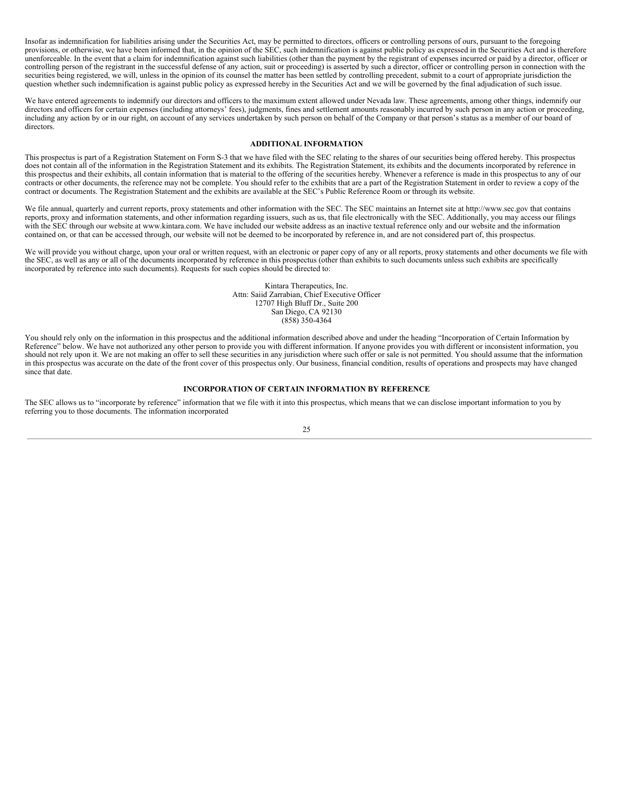Insofar as indemnification for liabilities arising under the Securities Act, may be permitted to directors, officers or controlling persons of ours, pursuant to the foregoing provisions, or otherwise, we have been informed that, in the opinion of the SEC, such indemnification is against public policy as expressed in the Securities Act and is therefore unenforceable. In the event that a claim for indemnification against such liabilities (other than the payment by the registrant of expenses incurred or paid by a director, officer or controlling person of the registrant in the successful defense of any action, suit or proceeding) is asserted by such a director, officer or controlling person in connection with the securities being registered, we will, unless in the opinion of its counsel the matter has been settled by controlling precedent, submit to a court of appropriate jurisdiction the question whether such indemnification is against public policy as expressed hereby in the Securities Act and we will be governed by the final adjudication of such issue.

We have entered agreements to indemnify our directors and officers to the maximum extent allowed under Nevada law. These agreements, among other things, indemnify our directors and officers for certain expenses (including attorneys' fees), judgments, fines and settlement amounts reasonably incurred by such person in any action or proceeding, including any action by or in our right, on account of any services undertaken by such person on behalf of the Company or that person's status as a member of our board of directors.

### **ADDITIONAL INFORMATION**

<span id="page-45-0"></span>This prospectus is part of a Registration Statement on Form S-3 that we have filed with the SEC relating to the shares of our securities being offered hereby. This prospectus does not contain all of the information in the Registration Statement and its exhibits. The Registration Statement, its exhibits and the documents incorporated by reference in this prospectus and their exhibits, all contain information that is material to the offering of the securities hereby. Whenever a reference is made in this prospectus to any of our contracts or other documents, the reference may not be complete. You should refer to the exhibits that are a part of the Registration Statement in order to review a copy of the contract or documents. The Registration Statement and the exhibits are available at the SEC's Public Reference Room or through its website.

We file annual, quarterly and current reports, proxy statements and other information with the SEC. The SEC maintains an Internet site at http://www.sec.gov that contains reports, proxy and information statements, and other information regarding issuers, such as us, that file electronically with the SEC. Additionally, you may access our filings with the SEC through our website at www.kintara.com. We have included our website address as an inactive textual reference only and our website and the information contained on, or that can be accessed through, our website will not be deemed to be incorporated by reference in, and are not considered part of, this prospectus.

We will provide you without charge, upon your oral or written request, with an electronic or paper copy of any or all reports, proxy statements and other documents we file with the SEC, as well as any or all of the documents incorporated by reference in this prospectus (other than exhibits to such documents unless such exhibits are specifically incorporated by reference into such documents). Requests for such copies should be directed to:

> Kintara Therapeutics, Inc. Attn: Saiid Zarrabian, Chief Executive Officer 12707 High Bluff Dr., Suite 200 San Diego, CA 92130 (858) 350-4364

You should rely only on the information in this prospectus and the additional information described above and under the heading "Incorporation of Certain Information by Reference" below. We have not authorized any other person to provide you with different information. If anyone provides you with different or inconsistent information, you should not rely upon it. We are not making an offer to sell these securities in any jurisdiction where such offer or sale is not permitted. You should assume that the information in this prospectus was accurate on the date of the front cover of this prospectus only. Our business, financial condition, results of operations and prospects may have changed since that date.

## **INCORPORATION OF CERTAIN INFORMATION BY REFERENCE**

<span id="page-45-1"></span>The SEC allows us to "incorporate by reference" information that we file with it into this prospectus, which means that we can disclose important information to you by referring you to those documents. The information incorporated

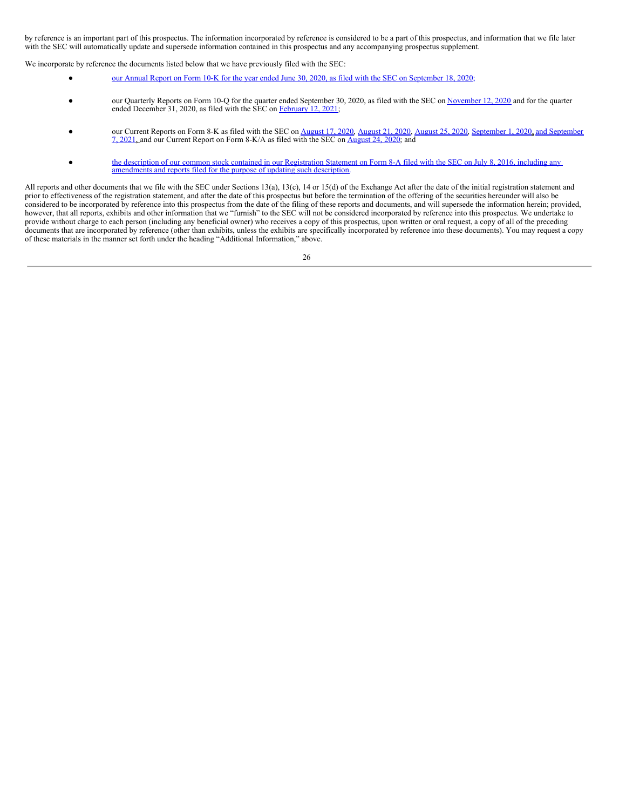by reference is an important part of this prospectus. The information incorporated by reference is considered to be a part of this prospectus, and information that we file later with the SEC will automatically update and supersede information contained in this prospectus and any accompanying prospectus supplement.

We incorporate by reference the documents listed below that we have previously filed with the SEC:

- our Annual Report on Form 10-K for the year ended June 30, 2020, as filed with the SEC on [September](https://www.sec.gov/Archives/edgar/data/1498382/000156459020044019/ktra-10k_20200630.htm) 18, 2020;
- our Quarterly Reports on Form 10-Q for the quarter ended September 30, 2020, as filed with the SEC on [November](https://www.sec.gov/Archives/edgar/data/1498382/000156459020053563/ktra-10q_20200930.htm) 12, 2020 and for the quarter ended December 31, 2020, as filed with the SEC on [February](https://www.sec.gov/Archives/edgar/data/1498382/000156459021005642/ktra-10q_20201231.htm) 12, 2021;
- our Current Reports on Form 8-K as filed with the SEC on [August](https://www.sec.gov/Archives/edgar/data/1498382/000121390020023471/0001213900-20-023471-index.htm) 17, 2020, August 21, 2020, August 25, 2020, [September](https://www.sec.gov/Archives/edgar/data/1498382/000121390020024674/ea126193-8k_kintaratherap.htm) 1, 2020, and September 7, 2021, and our Current Report on Form 8-K/A as filed with the SEC on August 2
- the description of our common stock contained in our [Registration](https://www.sec.gov/Archives/edgar/data/1498382/000121390016014826/f8a12b0716_delmar.htm) Statement on Form 8-A filed with the SEC on July 8, 2016, including any amendments and reports filed for the purpose of updating such description.

All reports and other documents that we file with the SEC under Sections 13(a), 13(c), 14 or 15(d) of the Exchange Act after the date of the initial registration statement and prior to effectiveness of the registration statement, and after the date of this prospectus but before the termination of the offering of the securities hereunder will also be considered to be incorporated by reference into this prospectus from the date of the filing of these reports and documents, and will supersede the information herein; provided, however, that all reports, exhibits and other information that we "furnish" to the SEC will not be considered incorporated by reference into this prospectus. We undertake to provide without charge to each person (including any beneficial owner) who receives a copy of this prospectus, upon written or oral request, a copy of all of the preceding documents that are incorporated by reference (other than exhibits, unless the exhibits are specifically incorporated by reference into these documents). You may request a copy of these materials in the manner set forth under the heading "Additional Information," above.

26